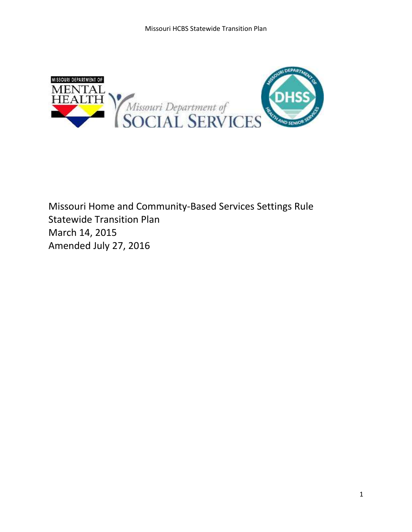

Missouri Home and Community-Based Services Settings Rule Statewide Transition Plan March 14, 2015 Amended July 27, 2016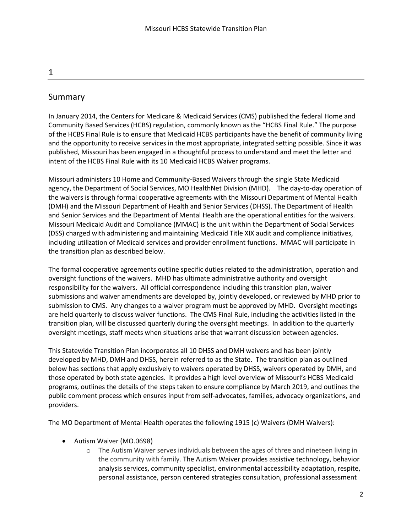# Summary

In January 2014, the Centers for Medicare & Medicaid Services (CMS) published the federal Home and Community Based Services (HCBS) regulation, commonly known as the "HCBS Final Rule." The purpose of the HCBS Final Rule is to ensure that Medicaid HCBS participants have the benefit of community living and the opportunity to receive services in the most appropriate, integrated setting possible. Since it was published, Missouri has been engaged in a thoughtful process to understand and meet the letter and intent of the HCBS Final Rule with its 10 Medicaid HCBS Waiver programs.

Missouri administers 10 Home and Community-Based Waivers through the single State Medicaid agency, the Department of Social Services, MO HealthNet Division (MHD). The day-to-day operation of the waivers is through formal cooperative agreements with the Missouri Department of Mental Health (DMH) and the Missouri Department of Health and Senior Services (DHSS). The Department of Health and Senior Services and the Department of Mental Health are the operational entities for the waivers. Missouri Medicaid Audit and Compliance (MMAC) is the unit within the Department of Social Services (DSS) charged with administering and maintaining Medicaid Title XIX audit and compliance initiatives, including utilization of Medicaid services and provider enrollment functions. MMAC will participate in the transition plan as described below.

The formal cooperative agreements outline specific duties related to the administration, operation and oversight functions of the waivers. MHD has ultimate administrative authority and oversight responsibility for the waivers. All official correspondence including this transition plan, waiver submissions and waiver amendments are developed by, jointly developed, or reviewed by MHD prior to submission to CMS. Any changes to a waiver program must be approved by MHD. Oversight meetings are held quarterly to discuss waiver functions. The CMS Final Rule, including the activities listed in the transition plan, will be discussed quarterly during the oversight meetings. In addition to the quarterly oversight meetings, staff meets when situations arise that warrant discussion between agencies.

This Statewide Transition Plan incorporates all 10 DHSS and DMH waivers and has been jointly developed by MHD, DMH and DHSS, herein referred to as the State. The transition plan as outlined below has sections that apply exclusively to waivers operated by DHSS, waivers operated by DMH, and those operated by both state agencies. It provides a high level overview of Missouri's HCBS Medicaid programs, outlines the details of the steps taken to ensure compliance by March 2019, and outlines the public comment process which ensures input from self-advocates, families, advocacy organizations, and providers.

The MO Department of Mental Health operates the following 1915 (c) Waivers (DMH Waivers):

- Autism Waiver (MO.0698)
	- o The Autism Waiver serves individuals between the ages of three and nineteen living in the community with family. The Autism Waiver provides assistive technology, behavior analysis services, community specialist, environmental accessibility adaptation, respite, personal assistance, person centered strategies consultation, professional assessment

1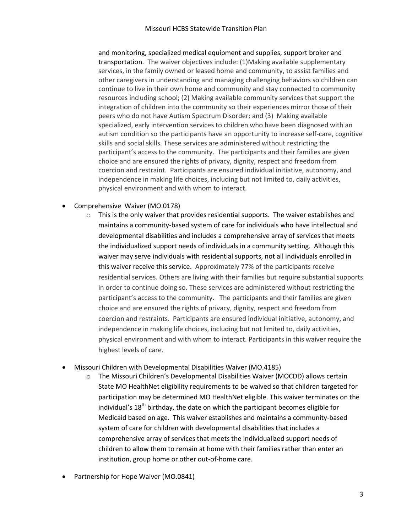and monitoring, specialized medical equipment and supplies, support broker and transportation. The waiver objectives include: (1)Making available supplementary services, in the family owned or leased home and community, to assist families and other caregivers in understanding and managing challenging behaviors so children can continue to live in their own home and community and stay connected to community resources including school; (2) Making available community services that support the integration of children into the community so their experiences mirror those of their peers who do not have Autism Spectrum Disorder; and (3) Making available specialized, early intervention services to children who have been diagnosed with an autism condition so the participants have an opportunity to increase self-care, cognitive skills and social skills. These services are administered without restricting the participant's access to the community. The participants and their families are given choice and are ensured the rights of privacy, dignity, respect and freedom from coercion and restraint. Participants are ensured individual initiative, autonomy, and independence in making life choices, including but not limited to, daily activities, physical environment and with whom to interact.

- Comprehensive Waiver (MO.0178)
	- $\circ$  This is the only waiver that provides residential supports. The waiver establishes and maintains a community-based system of care for individuals who have intellectual and developmental disabilities and includes a comprehensive array of services that meets the individualized support needs of individuals in a community setting. Although this waiver may serve individuals with residential supports, not all individuals enrolled in this waiver receive this service. Approximately 77% of the participants receive residential services. Others are living with their families but require substantial supports in order to continue doing so. These services are administered without restricting the participant's access to the community. The participants and their families are given choice and are ensured the rights of privacy, dignity, respect and freedom from coercion and restraints. Participants are ensured individual initiative, autonomy, and independence in making life choices, including but not limited to, daily activities, physical environment and with whom to interact. Participants in this waiver require the highest levels of care.
- Missouri Children with Developmental Disabilities Waiver (MO.4185)
	- o The Missouri Children's Developmental Disabilities Waiver (MOCDD) allows certain State MO HealthNet eligibility requirements to be waived so that children targeted for participation may be determined MO HealthNet eligible. This waiver terminates on the individual's  $18<sup>th</sup>$  birthday, the date on which the participant becomes eligible for Medicaid based on age. This waiver establishes and maintains a community-based system of care for children with developmental disabilities that includes a comprehensive array of services that meets the individualized support needs of children to allow them to remain at home with their families rather than enter an institution, group home or other out-of-home care.
- Partnership for Hope Waiver (MO.0841)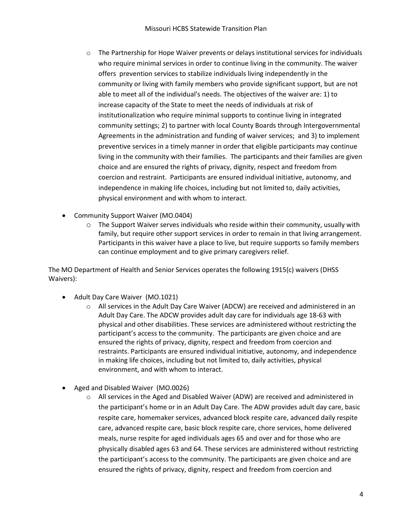- $\circ$  The Partnership for Hope Waiver prevents or delays institutional services for individuals who require minimal services in order to continue living in the community. The waiver offers prevention services to stabilize individuals living independently in the community or living with family members who provide significant support, but are not able to meet all of the individual's needs. The objectives of the waiver are: 1) to increase capacity of the State to meet the needs of individuals at risk of institutionalization who require minimal supports to continue living in integrated community settings; 2) to partner with local County Boards through Intergovernmental Agreements in the administration and funding of waiver services; and 3) to implement preventive services in a timely manner in order that eligible participants may continue living in the community with their families. The participants and their families are given choice and are ensured the rights of privacy, dignity, respect and freedom from coercion and restraint. Participants are ensured individual initiative, autonomy, and independence in making life choices, including but not limited to, daily activities, physical environment and with whom to interact.
- Community Support Waiver (MO.0404)
	- $\circ$  The Support Waiver serves individuals who reside within their community, usually with family, but require other support services in order to remain in that living arrangement. Participants in this waiver have a place to live, but require supports so family members can continue employment and to give primary caregivers relief.

The MO Department of Health and Senior Services operates the following 1915(c) waivers (DHSS Waivers):

- Adult Day Care Waiver (MO.1021)
	- $\circ$  All services in the Adult Day Care Waiver (ADCW) are received and administered in an Adult Day Care. The ADCW provides adult day care for individuals age 18-63 with physical and other disabilities. These services are administered without restricting the participant's access to the community. The participants are given choice and are ensured the rights of privacy, dignity, respect and freedom from coercion and restraints. Participants are ensured individual initiative, autonomy, and independence in making life choices, including but not limited to, daily activities, physical environment, and with whom to interact.
- Aged and Disabled Waiver (MO.0026)
	- $\circ$  All services in the Aged and Disabled Waiver (ADW) are received and administered in the participant's home or in an Adult Day Care. The ADW provides adult day care, basic respite care, homemaker services, advanced block respite care, advanced daily respite care, advanced respite care, basic block respite care, chore services, home delivered meals, nurse respite for aged individuals ages 65 and over and for those who are physically disabled ages 63 and 64. These services are administered without restricting the participant's access to the community. The participants are given choice and are ensured the rights of privacy, dignity, respect and freedom from coercion and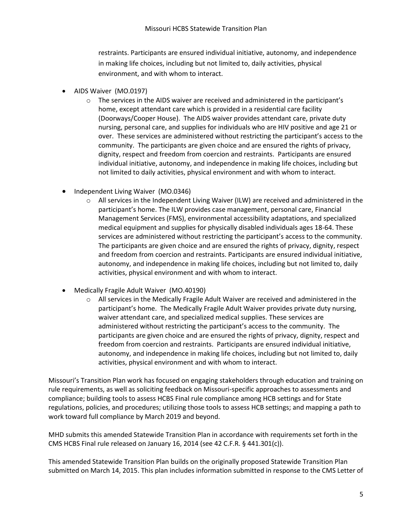restraints. Participants are ensured individual initiative, autonomy, and independence in making life choices, including but not limited to, daily activities, physical environment, and with whom to interact.

- AIDS Waiver (MO.0197)
	- $\circ$  The services in the AIDS waiver are received and administered in the participant's home, except attendant care which is provided in a residential care facility (Doorways/Cooper House). The AIDS waiver provides attendant care, private duty nursing, personal care, and supplies for individuals who are HIV positive and age 21 or over. These services are administered without restricting the participant's access to the community. The participants are given choice and are ensured the rights of privacy, dignity, respect and freedom from coercion and restraints. Participants are ensured individual initiative, autonomy, and independence in making life choices, including but not limited to daily activities, physical environment and with whom to interact.
- Independent Living Waiver (MO.0346)
	- $\circ$  All services in the Independent Living Waiver (ILW) are received and administered in the participant's home. The ILW provides case management, personal care, Financial Management Services (FMS), environmental accessibility adaptations, and specialized medical equipment and supplies for physically disabled individuals ages 18-64. These services are administered without restricting the participant's access to the community. The participants are given choice and are ensured the rights of privacy, dignity, respect and freedom from coercion and restraints. Participants are ensured individual initiative, autonomy, and independence in making life choices, including but not limited to, daily activities, physical environment and with whom to interact.
- Medically Fragile Adult Waiver (MO.40190)
	- o All services in the Medically Fragile Adult Waiver are received and administered in the participant's home. The Medically Fragile Adult Waiver provides private duty nursing, waiver attendant care, and specialized medical supplies. These services are administered without restricting the participant's access to the community. The participants are given choice and are ensured the rights of privacy, dignity, respect and freedom from coercion and restraints. Participants are ensured individual initiative, autonomy, and independence in making life choices, including but not limited to, daily activities, physical environment and with whom to interact.

Missouri's Transition Plan work has focused on engaging stakeholders through education and training on rule requirements, as well as soliciting feedback on Missouri-specific approaches to assessments and compliance; building tools to assess HCBS Final rule compliance among HCB settings and for State regulations, policies, and procedures; utilizing those tools to assess HCB settings; and mapping a path to work toward full compliance by March 2019 and beyond.

MHD submits this amended Statewide Transition Plan in accordance with requirements set forth in the CMS HCBS Final rule released on January 16, 2014 (see 42 C.F.R. § 441.301(c)).

This amended Statewide Transition Plan builds on the originally proposed Statewide Transition Plan submitted on March 14, 2015. This plan includes information submitted in response to the CMS Letter of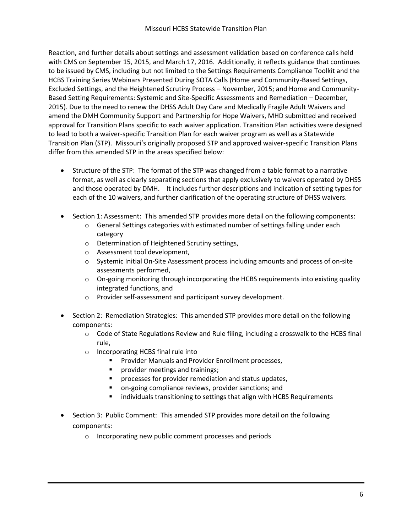Reaction, and further details about settings and assessment validation based on conference calls held with CMS on September 15, 2015, and March 17, 2016. Additionally, it reflects guidance that continues to be issued by CMS, including but not limited to the Settings Requirements Compliance Toolkit and the HCBS Training Series Webinars Presented During SOTA Calls (Home and Community-Based Settings, Excluded Settings, and the Heightened Scrutiny Process – November, 2015; and Home and Community-Based Setting Requirements: Systemic and Site-Specific Assessments and Remediation – December, 2015). Due to the need to renew the DHSS Adult Day Care and Medically Fragile Adult Waivers and amend the DMH Community Support and Partnership for Hope Waivers, MHD submitted and received approval for Transition Plans specific to each waiver application. Transition Plan activities were designed to lead to both a waiver-specific Transition Plan for each waiver program as well as a Statewide Transition Plan (STP). Missouri's originally proposed STP and approved waiver-specific Transition Plans differ from this amended STP in the areas specified below:

- Structure of the STP: The format of the STP was changed from a table format to a narrative format, as well as clearly separating sections that apply exclusively to waivers operated by DHSS and those operated by DMH. It includes further descriptions and indication of setting types for each of the 10 waivers, and further clarification of the operating structure of DHSS waivers.
- Section 1: Assessment: This amended STP provides more detail on the following components:
	- $\circ$  General Settings categories with estimated number of settings falling under each category
	- o Determination of Heightened Scrutiny settings,
	- o Assessment tool development,
	- o Systemic Initial On-Site Assessment process including amounts and process of on-site assessments performed,
	- o On-going monitoring through incorporating the HCBS requirements into existing quality integrated functions, and
	- o Provider self-assessment and participant survey development.
- Section 2: Remediation Strategies: This amended STP provides more detail on the following components:
	- $\circ$  Code of State Regulations Review and Rule filing, including a crosswalk to the HCBS final rule,
	- o Incorporating HCBS final rule into
		- Provider Manuals and Provider Enrollment processes,
		- **Perovider meetings and trainings;**
		- processes for provider remediation and status updates,
		- on-going compliance reviews, provider sanctions; and
		- **IXCHT** individuals transitioning to settings that align with HCBS Requirements
- Section 3: Public Comment: This amended STP provides more detail on the following components:
	- o Incorporating new public comment processes and periods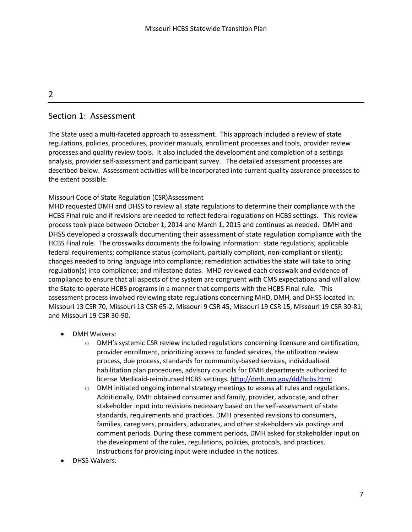## 2

# Section 1: Assessment

The State used a multi-faceted approach to assessment. This approach included a review of state regulations, policies, procedures, provider manuals, enrollment processes and tools, provider review processes and quality review tools. It also included the development and completion of a settings analysis, provider self-assessment and participant survey. The detailed assessment processes are described below. Assessment activities will be incorporated into current quality assurance processes to the extent possible.

### Missouri Code of State Regulation (CSR)Assessment

MHD requested DMH and DHSS to review all state regulations to determine their compliance with the HCBS Final rule and if revisions are needed to reflect federal regulations on HCBS settings. This review process took place between October 1, 2014 and March 1, 2015 and continues as needed. DMH and DHSS developed a crosswalk documenting their assessment of state regulation compliance with the HCBS Final rule. The crosswalks documents the following information: state regulations; applicable federal requirements; compliance status (compliant, partially compliant, non-compliant or silent); changes needed to bring language into compliance; remediation activities the state will take to bring regulation(s) into compliance; and milestone dates. MHD reviewed each crosswalk and evidence of compliance to ensure that all aspects of the system are congruent with CMS expectations and will allow the State to operate HCBS programs in a manner that comports with the HCBS Final rule. This assessment process involved reviewing state regulations concerning MHD, DMH, and DHSS located in: Missouri 13 CSR 70, Missouri 13 CSR 65-2, Missouri 9 CSR 45, Missouri 19 CSR 15, Missouri 19 CSR 30-81, and Missouri 19 CSR 30-90.

- DMH Waivers:
	- o DMH's systemic CSR review included regulations concerning licensure and certification, provider enrollment, prioritizing access to funded services, the utilization review process, due process, standards for community-based services, individualized habilitation plan procedures, advisory councils for DMH departments authorized to license Medicaid-reimbursed HCBS settings. <http://dmh.mo.gov/dd/hcbs.html>
	- o DMH initiated ongoing internal strategy meetings to assess all rules and regulations. Additionally, DMH obtained consumer and family, provider, advocate, and other stakeholder input into revisions necessary based on the self-assessment of state standards, requirements and practices. DMH presented revisions to consumers, families, caregivers, providers, advocates, and other stakeholders via postings and comment periods. During these comment periods, DMH asked for stakeholder input on the development of the rules, regulations, policies, protocols, and practices. Instructions for providing input were included in the notices.
- DHSS Waivers: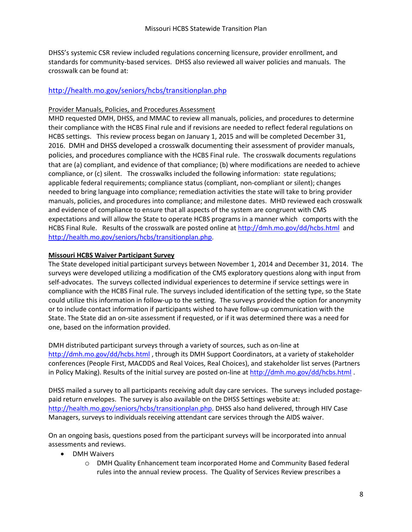DHSS's systemic CSR review included regulations concerning licensure, provider enrollment, and standards for community-based services. DHSS also reviewed all waiver policies and manuals. The crosswalk can be found at:

### <http://health.mo.gov/seniors/hcbs/transitionplan.php>

### Provider Manuals, Policies, and Procedures Assessment

MHD requested DMH, DHSS, and MMAC to review all manuals, policies, and procedures to determine their compliance with the HCBS Final rule and if revisions are needed to reflect federal regulations on HCBS settings. This review process began on January 1, 2015 and will be completed December 31, 2016. DMH and DHSS developed a crosswalk documenting their assessment of provider manuals, policies, and procedures compliance with the HCBS Final rule. The crosswalk documents regulations that are (a) compliant, and evidence of that compliance; (b) where modifications are needed to achieve compliance, or (c) silent. The crosswalks included the following information: state regulations; applicable federal requirements; compliance status (compliant, non-compliant or silent); changes needed to bring language into compliance; remediation activities the state will take to bring provider manuals, policies, and procedures into compliance; and milestone dates. MHD reviewed each crosswalk and evidence of compliance to ensure that all aspects of the system are congruent with CMS expectations and will allow the State to operate HCBS programs in a manner which comports with the HCBS Final Rule. Results of the crosswalk are posted online a[t http://dmh.mo.gov/dd/hcbs.html](http://dmh.mo.gov/dd/hcbs.html) and [http://health.mo.gov/seniors/hcbs/transitionplan.php.](http://health.mo.gov/seniors/hcbs/transitionplan.php)

### **Missouri HCBS Waiver Participant Survey**

The State developed initial participant surveys between November 1, 2014 and December 31, 2014. The surveys were developed utilizing a modification of the CMS exploratory questions along with input from self-advocates. The surveys collected individual experiences to determine if service settings were in compliance with the HCBS Final rule. The surveys included identification of the setting type, so the State could utilize this information in follow-up to the setting. The surveys provided the option for anonymity or to include contact information if participants wished to have follow-up communication with the State. The State did an on-site assessment if requested, or if it was determined there was a need for one, based on the information provided.

DMH distributed participant surveys through a variety of sources, such as on-line at <http://dmh.mo.gov/dd/hcbs.html>, through its DMH Support Coordinators, at a variety of stakeholder conferences (People First, MACDDS and Real Voices, Real Choices), and stakeholder list serves (Partners in Policy Making). Results of the initial survey are posted on-line a[t http://dmh.mo.gov/dd/hcbs.html](http://dmh.mo.gov/dd/hcbs.html).

DHSS mailed a survey to all participants receiving adult day care services. The surveys included postagepaid return envelopes. The survey is also available on the DHSS Settings website at: [http://health.mo.gov/seniors/hcbs/transitionplan.php.](http://health.mo.gov/seniors/hcbs/transitionplan.php) DHSS also hand delivered, through HIV Case Managers, surveys to individuals receiving attendant care services through the AIDS waiver.

On an ongoing basis, questions posed from the participant surveys will be incorporated into annual assessments and reviews.

- DMH Waivers
	- o DMH Quality Enhancement team incorporated Home and Community Based federal rules into the annual review process. The Quality of Services Review prescribes a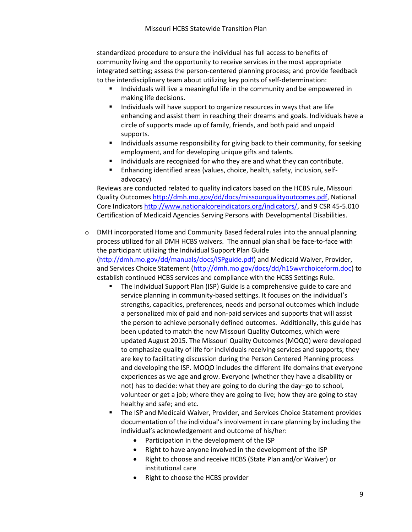standardized procedure to ensure the individual has full access to benefits of community living and the opportunity to receive services in the most appropriate integrated setting; assess the person-centered planning process; and provide feedback to the interdisciplinary team about utilizing key points of self-determination:

- Individuals will live a meaningful life in the community and be empowered in making life decisions.
- Individuals will have support to organize resources in ways that are life enhancing and assist them in reaching their dreams and goals. Individuals have a circle of supports made up of family, friends, and both paid and unpaid supports.
- **Individuals assume responsibility for giving back to their community, for seeking** employment, and for developing unique gifts and talents.
- **Individuals are recognized for who they are and what they can contribute.**
- Enhancing identified areas (values, choice, health, safety, inclusion, selfadvocacy)

Reviews are conducted related to quality indicators based on the HCBS rule, Missouri Quality Outcomes [http://dmh.mo.gov/dd/docs/missourqualityoutcomes.pdf,](http://dmh.mo.gov/dd/docs/missourqualityoutcomes.pdf) National Core Indicator[s http://www.nationalcoreindicators.org/indicators/,](http://www.nationalcoreindicators.org/indicators/) and 9 CSR 45-5.010 Certification of Medicaid Agencies Serving Persons with Developmental Disabilities.

- o DMH incorporated Home and Community Based federal rules into the annual planning process utilized for all DMH HCBS waivers. The annual plan shall be face-to-face with the participant utilizing the Individual Support Plan Guide [\(http://dmh.mo.gov/dd/manuals/docs/ISPguide.pdf\)](http://dmh.mo.gov/dd/manuals/docs/ISPguide.pdf) and Medicaid Waiver, Provider, and Services Choice Statement [\(http://dmh.mo.gov/docs/dd/h15wvrchoiceform.doc\)](http://dmh.mo.gov/docs/dd/h15wvrchoiceform.doc) to establish continued HCBS services and compliance with the HCBS Settings Rule.
	- **The Individual Support Plan (ISP) Guide is a comprehensive guide to care and** service planning in community-based settings. It focuses on the individual's strengths, capacities, preferences, needs and personal outcomes which include a personalized mix of paid and non-paid services and supports that will assist the person to achieve personally defined outcomes. Additionally, this guide has been updated to match the new Missouri Quality Outcomes, which were updated August 2015. The Missouri Quality Outcomes (MOQO) were developed to emphasize quality of life for individuals receiving services and supports; they are key to facilitating discussion during the Person Centered Planning process and developing the ISP. MOQO includes the different life domains that everyone experiences as we age and grow. Everyone (whether they have a disability or not) has to decide: what they are going to do during the day–go to school, volunteer or get a job; where they are going to live; how they are going to stay healthy and safe; and etc.
	- The ISP and Medicaid Waiver, Provider, and Services Choice Statement provides documentation of the individual's involvement in care planning by including the individual's acknowledgement and outcome of his/her:
		- Participation in the development of the ISP
		- Right to have anyone involved in the development of the ISP
		- Right to choose and receive HCBS (State Plan and/or Waiver) or institutional care
		- Right to choose the HCBS provider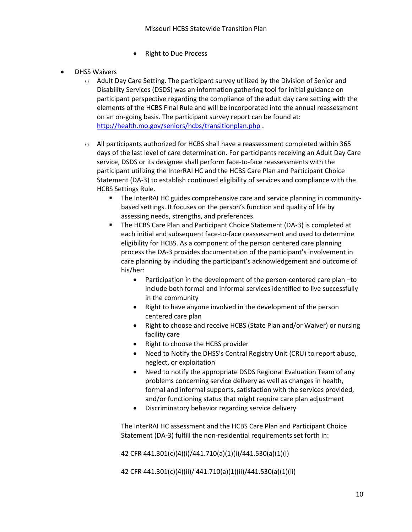- Right to Due Process
- DHSS Waivers
	- o Adult Day Care Setting. The participant survey utilized by the Division of Senior and Disability Services (DSDS) was an information gathering tool for initial guidance on participant perspective regarding the compliance of the adult day care setting with the elements of the HCBS Final Rule and will be incorporated into the annual reassessment on an on-going basis. The participant survey report can be found at: <http://health.mo.gov/seniors/hcbs/transitionplan.php> .
	- $\circ$  All participants authorized for HCBS shall have a reassessment completed within 365 days of the last level of care determination. For participants receiving an Adult Day Care service, DSDS or its designee shall perform face-to-face reassessments with the participant utilizing the InterRAI HC and the HCBS Care Plan and Participant Choice Statement (DA-3) to establish continued eligibility of services and compliance with the HCBS Settings Rule.
		- The InterRAI HC guides comprehensive care and service planning in communitybased settings. It focuses on the person's function and quality of life by assessing needs, strengths, and preferences.
		- The HCBS Care Plan and Participant Choice Statement (DA-3) is completed at each initial and subsequent face-to-face reassessment and used to determine eligibility for HCBS. As a component of the person centered care planning process the DA-3 provides documentation of the participant's involvement in care planning by including the participant's acknowledgement and outcome of his/her:
			- Participation in the development of the person-centered care plan –to include both formal and informal services identified to live successfully in the community
			- Right to have anyone involved in the development of the person centered care plan
			- Right to choose and receive HCBS (State Plan and/or Waiver) or nursing facility care
			- Right to choose the HCBS provider
			- Need to Notify the DHSS's Central Registry Unit (CRU) to report abuse, neglect, or exploitation
			- Need to notify the appropriate DSDS Regional Evaluation Team of any problems concerning service delivery as well as changes in health, formal and informal supports, satisfaction with the services provided, and/or functioning status that might require care plan adjustment
			- Discriminatory behavior regarding service delivery

The InterRAI HC assessment and the HCBS Care Plan and Participant Choice Statement (DA-3) fulfill the non-residential requirements set forth in:

42 CFR 441.301(c)(4)(i)/441.710(a)(1)(i)/441.530(a)(1)(i)

42 CFR 441.301(c)(4)(ii)/ 441.710(a)(1)(ii)/441.530(a)(1)(ii)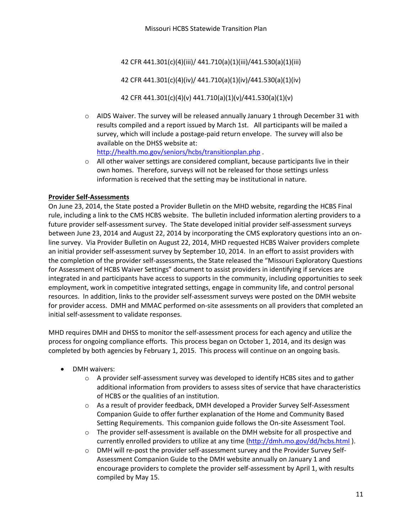42 CFR 441.301(c)(4)(iii)/ 441.710(a)(1)(iii)/441.530(a)(1)(iii)

42 CFR 441.301(c)(4)(iv)/ 441.710(a)(1)(iv)/441.530(a)(1)(iv)

42 CFR 441.301(c)(4)(v) 441.710(a)(1)(v)/441.530(a)(1)(v)

- $\circ$  AIDS Waiver. The survey will be released annually January 1 through December 31 with results compiled and a report issued by March 1st. All participants will be mailed a survey, which will include a postage-paid return envelope. The survey will also be available on the DHSS website at: <http://health.mo.gov/seniors/hcbs/transitionplan.php> .
- $\circ$  All other waiver settings are considered compliant, because participants live in their own homes. Therefore, surveys will not be released for those settings unless information is received that the setting may be institutional in nature.

### **Provider Self-Assessments**

On June 23, 2014, the State posted a Provider Bulletin on the MHD website, regarding the HCBS Final rule, including a link to the CMS HCBS website. The bulletin included information alerting providers to a future provider self-assessment survey. The State developed initial provider self-assessment surveys between June 23, 2014 and August 22, 2014 by incorporating the CMS exploratory questions into an online survey. Via Provider Bulletin on August 22, 2014, MHD requested HCBS Waiver providers complete an initial provider self-assessment survey by September 10, 2014. In an effort to assist providers with the completion of the provider self-assessments, the State released the "Missouri Exploratory Questions for Assessment of HCBS Waiver Settings" document to assist providers in identifying if services are integrated in and participants have access to supports in the community, including opportunities to seek employment, work in competitive integrated settings, engage in community life, and control personal resources. In addition, links to the provider self-assessment surveys were posted on the DMH website for provider access. DMH and MMAC performed on-site assessments on all providers that completed an initial self-assessment to validate responses.

MHD requires DMH and DHSS to monitor the self-assessment process for each agency and utilize the process for ongoing compliance efforts. This process began on October 1, 2014, and its design was completed by both agencies by February 1, 2015. This process will continue on an ongoing basis.

- DMH waivers:
	- $\circ$  A provider self-assessment survey was developed to identify HCBS sites and to gather additional information from providers to assess sites of service that have characteristics of HCBS or the qualities of an institution.
	- o As a result of provider feedback, DMH developed a Provider Survey Self-Assessment Companion Guide to offer further explanation of the Home and Community Based Setting Requirements. This companion guide follows the On-site Assessment Tool.
	- $\circ$  The provider self-assessment is available on the DMH website for all prospective and currently enrolled providers to utilize at any time [\(http://dmh.mo.gov/dd/hcbs.html](http://dmh.mo.gov/dd/hcbs.html) ).
	- o DMH will re-post the provider self-assessment survey and the Provider Survey Self-Assessment Companion Guide to the DMH website annually on January 1 and encourage providers to complete the provider self-assessment by April 1, with results compiled by May 15.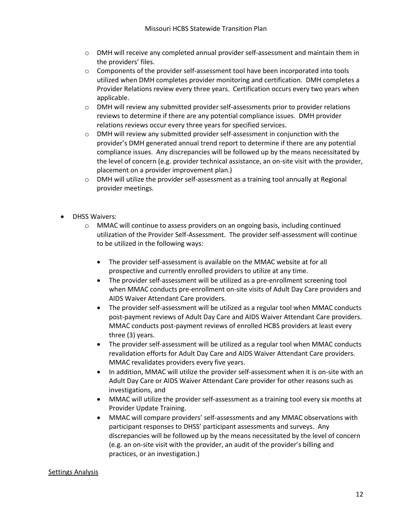- $\circ$  DMH will receive any completed annual provider self-assessment and maintain them in the providers' files.
- $\circ$  Components of the provider self-assessment tool have been incorporated into tools utilized when DMH completes provider monitoring and certification. DMH completes a Provider Relations review every three years. Certification occurs every two years when applicable.
- o DMH will review any submitted provider self-assessments prior to provider relations reviews to determine if there are any potential compliance issues. DMH provider relations reviews occur every three years for specified services.
- $\circ$  DMH will review any submitted provider self-assessment in conjunction with the provider's DMH generated annual trend report to determine if there are any potential compliance issues. Any discrepancies will be followed up by the means necessitated by the level of concern (e.g. provider technical assistance, an on-site visit with the provider, placement on a provider improvement plan.)
- o DMH will utilize the provider self-assessment as a training tool annually at Regional provider meetings.
- DHSS Waivers:
	- $\circ$  MMAC will continue to assess providers on an ongoing basis, including continued utilization of the Provider Self-Assessment. The provider self-assessment will continue to be utilized in the following ways:
		- The provider self-assessment is available on the MMAC website at for all prospective and currently enrolled providers to utilize at any time.
		- The provider self-assessment will be utilized as a pre-enrollment screening tool when MMAC conducts pre-enrollment on-site visits of Adult Day Care providers and AIDS Waiver Attendant Care providers.
		- The provider self-assessment will be utilized as a regular tool when MMAC conducts post-payment reviews of Adult Day Care and AIDS Waiver Attendant Care providers. MMAC conducts post-payment reviews of enrolled HCBS providers at least every three (3) years.
		- The provider self-assessment will be utilized as a regular tool when MMAC conducts revalidation efforts for Adult Day Care and AIDS Waiver Attendant Care providers. MMAC revalidates providers every five years.
		- In addition, MMAC will utilize the provider self-assessment when it is on-site with an Adult Day Care or AIDS Waiver Attendant Care provider for other reasons such as investigations, and
		- MMAC will utilize the provider self-assessment as a training tool every six months at Provider Update Training.
		- MMAC will compare providers' self-assessments and any MMAC observations with participant responses to DHSS' participant assessments and surveys. Any discrepancies will be followed up by the means necessitated by the level of concern (e.g. an on-site visit with the provider, an audit of the provider's billing and practices, or an investigation.)

#### Settings Analysis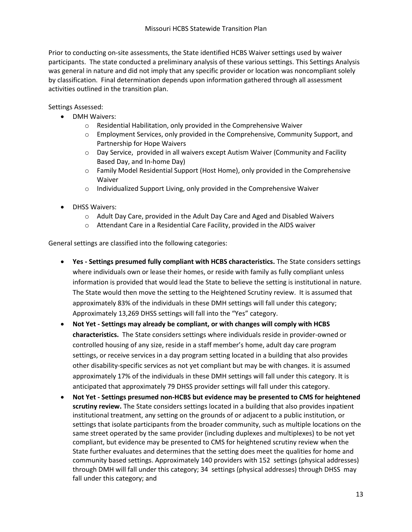Prior to conducting on-site assessments, the State identified HCBS Waiver settings used by waiver participants. The state conducted a preliminary analysis of these various settings. This Settings Analysis was general in nature and did not imply that any specific provider or location was noncompliant solely by classification. Final determination depends upon information gathered through all assessment activities outlined in the transition plan.

Settings Assessed:

- DMH Waivers:
	- o Residential Habilitation, only provided in the Comprehensive Waiver
	- o Employment Services, only provided in the Comprehensive, Community Support, and Partnership for Hope Waivers
	- $\circ$  Day Service, provided in all waivers except Autism Waiver (Community and Facility Based Day, and In-home Day)
	- o Family Model Residential Support (Host Home), only provided in the Comprehensive Waiver
	- o Individualized Support Living, only provided in the Comprehensive Waiver
- DHSS Waivers:
	- o Adult Day Care, provided in the Adult Day Care and Aged and Disabled Waivers
	- o Attendant Care in a Residential Care Facility, provided in the AIDS waiver

General settings are classified into the following categories:

- **Yes - Settings presumed fully compliant with HCBS characteristics.** The State considers settings where individuals own or lease their homes, or reside with family as fully compliant unless information is provided that would lead the State to believe the setting is institutional in nature. The State would then move the setting to the Heightened Scrutiny review. It is assumed that approximately 83% of the individuals in these DMH settings will fall under this category; Approximately 13,269 DHSS settings will fall into the "Yes" category.
- **Not Yet - Settings may already be compliant, or with changes will comply with HCBS characteristics.** The State considers settings where individuals reside in provider-owned or controlled housing of any size, reside in a staff member's home, adult day care program settings, or receive services in a day program setting located in a building that also provides other disability-specific services as not yet compliant but may be with changes. it is assumed approximately 17% of the individuals in these DMH settings will fall under this category. It is anticipated that approximately 79 DHSS provider settings will fall under this category.
- **Not Yet - Settings presumed non-HCBS but evidence may be presented to CMS for heightened scrutiny review.** The State considers settings located in a building that also provides inpatient institutional treatment, any setting on the grounds of or adjacent to a public institution, or settings that isolate participants from the broader community, such as multiple locations on the same street operated by the same provider (including duplexes and multiplexes) to be not yet compliant, but evidence may be presented to CMS for heightened scrutiny review when the State further evaluates and determines that the setting does meet the qualities for home and community based settings. Approximately 140 providers with 152 settings (physical addresses) through DMH will fall under this category; 34 settings (physical addresses) through DHSS may fall under this category; and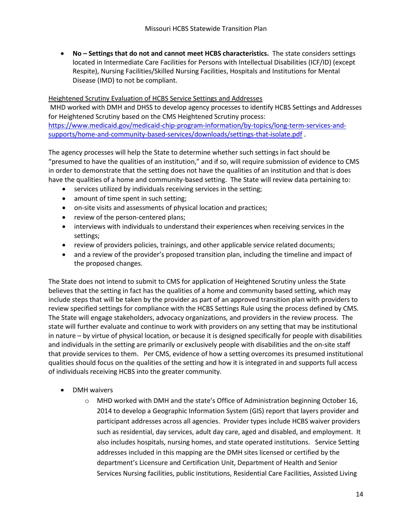**No – Settings that do not and cannot meet HCBS characteristics.** The state considers settings located in Intermediate Care Facilities for Persons with Intellectual Disabilities (ICF/ID) (except Respite), Nursing Facilities/Skilled Nursing Facilities, Hospitals and Institutions for Mental Disease (IMD) to not be compliant.

#### Heightened Scrutiny Evaluation of HCBS Service Settings and Addresses

MHD worked with DMH and DHSS to develop agency processes to identify HCBS Settings and Addresses for Heightened Scrutiny based on the CMS Heightened Scrutiny process: [https://www.medicaid.gov/medicaid-chip-program-information/by-topics/long-term-services-and](https://www.medicaid.gov/medicaid-chip-program-information/by-topics/long-term-services-and-supports/home-and-community-based-services/downloads/settings-that-isolate.pdf)[supports/home-and-community-based-services/downloads/settings-that-isolate.pdf](https://www.medicaid.gov/medicaid-chip-program-information/by-topics/long-term-services-and-supports/home-and-community-based-services/downloads/settings-that-isolate.pdf) .

The agency processes will help the State to determine whether such settings in fact should be "presumed to have the qualities of an institution," and if so, will require submission of evidence to CMS in order to demonstrate that the setting does not have the qualities of an institution and that is does have the qualities of a home and community-based setting. The State will review data pertaining to:

- services utilized by individuals receiving services in the setting;
- amount of time spent in such setting;
- on-site visits and assessments of physical location and practices;
- review of the person-centered plans;
- interviews with individuals to understand their experiences when receiving services in the settings;
- review of providers policies, trainings, and other applicable service related documents;
- and a review of the provider's proposed transition plan, including the timeline and impact of the proposed changes.

The State does not intend to submit to CMS for application of Heightened Scrutiny unless the State believes that the setting in fact has the qualities of a home and community based setting, which may include steps that will be taken by the provider as part of an approved transition plan with providers to review specified settings for compliance with the HCBS Settings Rule using the process defined by CMS. The State will engage stakeholders, advocacy organizations, and providers in the review process. The state will further evaluate and continue to work with providers on any setting that may be institutional in nature – by virtue of physical location, or because it is designed specifically for people with disabilities and individuals in the setting are primarily or exclusively people with disabilities and the on-site staff that provide services to them. Per CMS, evidence of how a setting overcomes its presumed institutional qualities should focus on the qualities of the setting and how it is integrated in and supports full access of individuals receiving HCBS into the greater community.

- DMH waivers
	- $\circ$  MHD worked with DMH and the state's Office of Administration beginning October 16, 2014 to develop a Geographic Information System (GIS) report that layers provider and participant addresses across all agencies. Provider types include HCBS waiver providers such as residential, day services, adult day care, aged and disabled, and employment. It also includes hospitals, nursing homes, and state operated institutions. Service Setting addresses included in this mapping are the DMH sites licensed or certified by the department's Licensure and Certification Unit, Department of Health and Senior Services Nursing facilities, public institutions, Residential Care Facilities, Assisted Living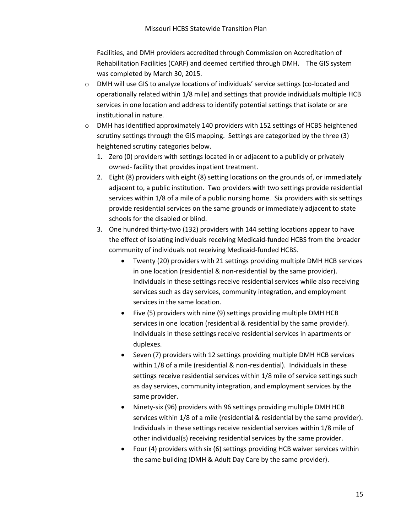Facilities, and DMH providers accredited through Commission on Accreditation of Rehabilitation Facilities (CARF) and deemed certified through DMH. The GIS system was completed by March 30, 2015.

- o DMH will use GIS to analyze locations of individuals' service settings (co-located and operationally related within 1/8 mile) and settings that provide individuals multiple HCB services in one location and address to identify potential settings that isolate or are institutional in nature.
- $\circ$  DMH has identified approximately 140 providers with 152 settings of HCBS heightened scrutiny settings through the GIS mapping. Settings are categorized by the three (3) heightened scrutiny categories below.
	- 1. Zero (0) providers with settings located in or adjacent to a publicly or privately owned- facility that provides inpatient treatment.
	- 2. Eight (8) providers with eight (8) setting locations on the grounds of, or immediately adjacent to, a public institution. Two providers with two settings provide residential services within 1/8 of a mile of a public nursing home. Six providers with six settings provide residential services on the same grounds or immediately adjacent to state schools for the disabled or blind.
	- 3. One hundred thirty-two (132) providers with 144 setting locations appear to have the effect of isolating individuals receiving Medicaid-funded HCBS from the broader community of individuals not receiving Medicaid-funded HCBS.
		- Twenty (20) providers with 21 settings providing multiple DMH HCB services in one location (residential & non-residential by the same provider). Individuals in these settings receive residential services while also receiving services such as day services, community integration, and employment services in the same location.
		- Five (5) providers with nine (9) settings providing multiple DMH HCB services in one location (residential & residential by the same provider). Individuals in these settings receive residential services in apartments or duplexes.
		- Seven (7) providers with 12 settings providing multiple DMH HCB services within 1/8 of a mile (residential & non-residential). Individuals in these settings receive residential services within 1/8 mile of service settings such as day services, community integration, and employment services by the same provider.
		- Ninety-six (96) providers with 96 settings providing multiple DMH HCB services within 1/8 of a mile (residential & residential by the same provider). Individuals in these settings receive residential services within 1/8 mile of other individual(s) receiving residential services by the same provider.
		- Four (4) providers with six (6) settings providing HCB waiver services within the same building (DMH & Adult Day Care by the same provider).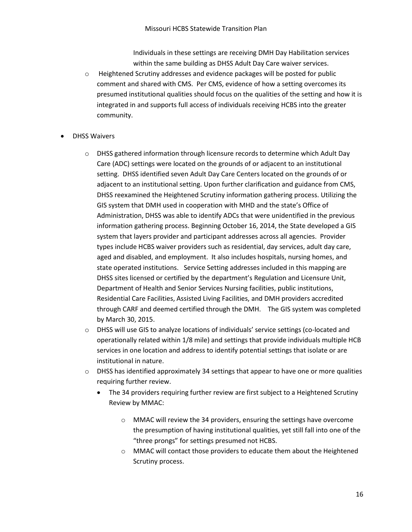Individuals in these settings are receiving DMH Day Habilitation services within the same building as DHSS Adult Day Care waiver services.

- o Heightened Scrutiny addresses and evidence packages will be posted for public comment and shared with CMS. Per CMS, evidence of how a setting overcomes its presumed institutional qualities should focus on the qualities of the setting and how it is integrated in and supports full access of individuals receiving HCBS into the greater community.
- DHSS Waivers
	- $\circ$  DHSS gathered information through licensure records to determine which Adult Day Care (ADC) settings were located on the grounds of or adjacent to an institutional setting. DHSS identified seven Adult Day Care Centers located on the grounds of or adjacent to an institutional setting. Upon further clarification and guidance from CMS, DHSS reexamined the Heightened Scrutiny information gathering process. Utilizing the GIS system that DMH used in cooperation with MHD and the state's Office of Administration, DHSS was able to identify ADCs that were unidentified in the previous information gathering process. Beginning October 16, 2014, the State developed a GIS system that layers provider and participant addresses across all agencies. Provider types include HCBS waiver providers such as residential, day services, adult day care, aged and disabled, and employment. It also includes hospitals, nursing homes, and state operated institutions. Service Setting addresses included in this mapping are DHSS sites licensed or certified by the department's Regulation and Licensure Unit, Department of Health and Senior Services Nursing facilities, public institutions, Residential Care Facilities, Assisted Living Facilities, and DMH providers accredited through CARF and deemed certified through the DMH. The GIS system was completed by March 30, 2015.
	- o DHSS will use GIS to analyze locations of individuals' service settings (co-located and operationally related within 1/8 mile) and settings that provide individuals multiple HCB services in one location and address to identify potential settings that isolate or are institutional in nature.
	- $\circ$  DHSS has identified approximately 34 settings that appear to have one or more qualities requiring further review.
		- The 34 providers requiring further review are first subject to a Heightened Scrutiny Review by MMAC:
			- o MMAC will review the 34 providers, ensuring the settings have overcome the presumption of having institutional qualities, yet still fall into one of the "three prongs" for settings presumed not HCBS.
			- o MMAC will contact those providers to educate them about the Heightened Scrutiny process.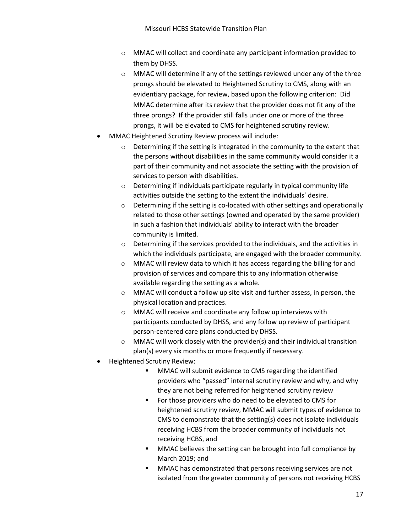- o MMAC will collect and coordinate any participant information provided to them by DHSS.
- o MMAC will determine if any of the settings reviewed under any of the three prongs should be elevated to Heightened Scrutiny to CMS, along with an evidentiary package, for review, based upon the following criterion: Did MMAC determine after its review that the provider does not fit any of the three prongs? If the provider still falls under one or more of the three prongs, it will be elevated to CMS for heightened scrutiny review.
- MMAC Heightened Scrutiny Review process will include:
	- $\circ$  Determining if the setting is integrated in the community to the extent that the persons without disabilities in the same community would consider it a part of their community and not associate the setting with the provision of services to person with disabilities.
	- o Determining if individuals participate regularly in typical community life activities outside the setting to the extent the individuals' desire.
	- $\circ$  Determining if the setting is co-located with other settings and operationally related to those other settings (owned and operated by the same provider) in such a fashion that individuals' ability to interact with the broader community is limited.
	- o Determining if the services provided to the individuals, and the activities in which the individuals participate, are engaged with the broader community.
	- o MMAC will review data to which it has access regarding the billing for and provision of services and compare this to any information otherwise available regarding the setting as a whole.
	- o MMAC will conduct a follow up site visit and further assess, in person, the physical location and practices.
	- o MMAC will receive and coordinate any follow up interviews with participants conducted by DHSS, and any follow up review of participant person-centered care plans conducted by DHSS.
	- o MMAC will work closely with the provider(s) and their individual transition plan(s) every six months or more frequently if necessary.
- Heightened Scrutiny Review:
	- MMAC will submit evidence to CMS regarding the identified providers who "passed" internal scrutiny review and why, and why they are not being referred for heightened scrutiny review
	- **For those providers who do need to be elevated to CMS for** heightened scrutiny review, MMAC will submit types of evidence to CMS to demonstrate that the setting(s) does not isolate individuals receiving HCBS from the broader community of individuals not receiving HCBS, and
	- **MMAC** believes the setting can be brought into full compliance by March 2019; and
	- **MMAC** has demonstrated that persons receiving services are not isolated from the greater community of persons not receiving HCBS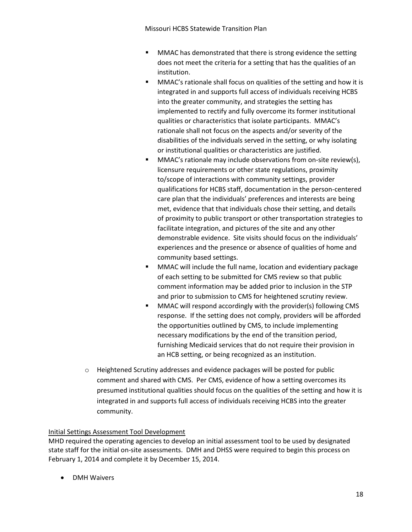Missouri HCBS Statewide Transition Plan

- **MMAC** has demonstrated that there is strong evidence the setting does not meet the criteria for a setting that has the qualities of an institution.
- **MMAC's rationale shall focus on qualities of the setting and how it is** integrated in and supports full access of individuals receiving HCBS into the greater community, and strategies the setting has implemented to rectify and fully overcome its former institutional qualities or characteristics that isolate participants. MMAC's rationale shall not focus on the aspects and/or severity of the disabilities of the individuals served in the setting, or why isolating or institutional qualities or characteristics are justified.
- **MMAC's rationale may include observations from on-site review(s),** licensure requirements or other state regulations, proximity to/scope of interactions with community settings, provider qualifications for HCBS staff, documentation in the person-centered care plan that the individuals' preferences and interests are being met, evidence that that individuals chose their setting, and details of proximity to public transport or other transportation strategies to facilitate integration, and pictures of the site and any other demonstrable evidence. Site visits should focus on the individuals' experiences and the presence or absence of qualities of home and community based settings.
- **MMAC** will include the full name, location and evidentiary package of each setting to be submitted for CMS review so that public comment information may be added prior to inclusion in the STP and prior to submission to CMS for heightened scrutiny review.
- MMAC will respond accordingly with the provider(s) following CMS response. If the setting does not comply, providers will be afforded the opportunities outlined by CMS, to include implementing necessary modifications by the end of the transition period, furnishing Medicaid services that do not require their provision in an HCB setting, or being recognized as an institution.
- $\circ$  Heightened Scrutiny addresses and evidence packages will be posted for public comment and shared with CMS. Per CMS, evidence of how a setting overcomes its presumed institutional qualities should focus on the qualities of the setting and how it is integrated in and supports full access of individuals receiving HCBS into the greater community.

### Initial Settings Assessment Tool Development

MHD required the operating agencies to develop an initial assessment tool to be used by designated state staff for the initial on-site assessments. DMH and DHSS were required to begin this process on February 1, 2014 and complete it by December 15, 2014.

DMH Waivers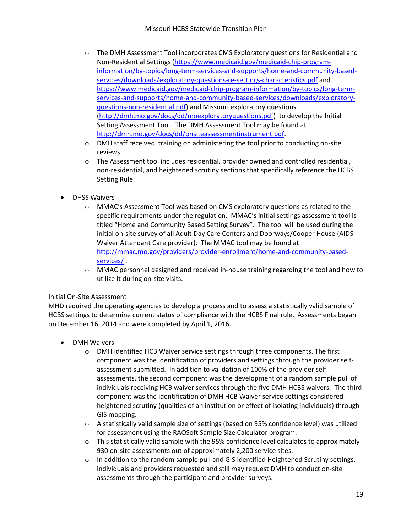- $\circ$  The DMH Assessment Tool incorporates CMS Exploratory questions for Residential and Non-Residential Settings [\(https://www.medicaid.gov/medicaid-chip-program](https://www.medicaid.gov/medicaid-chip-program-information/by-topics/long-term-services-and-supports/home-and-community-based-services/downloads/exploratory-questions-re-settings-characteristics.pdf)[information/by-topics/long-term-services-and-supports/home-and-community-based](https://www.medicaid.gov/medicaid-chip-program-information/by-topics/long-term-services-and-supports/home-and-community-based-services/downloads/exploratory-questions-re-settings-characteristics.pdf)[services/downloads/exploratory-questions-re-settings-characteristics.pdf](https://www.medicaid.gov/medicaid-chip-program-information/by-topics/long-term-services-and-supports/home-and-community-based-services/downloads/exploratory-questions-re-settings-characteristics.pdf) and [https://www.medicaid.gov/medicaid-chip-program-information/by-topics/long-term](https://www.medicaid.gov/medicaid-chip-program-information/by-topics/long-term-services-and-supports/home-and-community-based-services/downloads/exploratory-questions-non-residential.pdf)[services-and-supports/home-and-community-based-services/downloads/exploratory](https://www.medicaid.gov/medicaid-chip-program-information/by-topics/long-term-services-and-supports/home-and-community-based-services/downloads/exploratory-questions-non-residential.pdf)[questions-non-residential.pdf\)](https://www.medicaid.gov/medicaid-chip-program-information/by-topics/long-term-services-and-supports/home-and-community-based-services/downloads/exploratory-questions-non-residential.pdf) and Missouri exploratory questions [\(http://dmh.mo.gov/docs/dd/moexploratoryquestions.pdf\)](http://dmh.mo.gov/docs/dd/moexploratoryquestions.pdf) to develop the Initial Setting Assessment Tool. The DMH Assessment Tool may be found at [http://dmh.mo.gov/docs/dd/onsiteassessmentinstrument.pdf.](http://dmh.mo.gov/docs/dd/onsiteassessmentinstrument.pdf)
- o DMH staff received training on administering the tool prior to conducting on-site reviews.
- o The Assessment tool includes residential, provider owned and controlled residential, non-residential, and heightened scrutiny sections that specifically reference the HCBS Setting Rule.
- DHSS Waivers
	- o MMAC's Assessment Tool was based on CMS exploratory questions as related to the specific requirements under the regulation. MMAC's initial settings assessment tool is titled "Home and Community Based Setting Survey". The tool will be used during the initial on-site survey of all Adult Day Care Centers and Doorways/Cooper House (AIDS Waiver Attendant Care provider). The MMAC tool may be found at [http://mmac.mo.gov/providers/provider-enrollment/home-and-community-based](http://mmac.mo.gov/providers/provider-enrollment/home-and-community-based-services/)[services/](http://mmac.mo.gov/providers/provider-enrollment/home-and-community-based-services/) .
	- o MMAC personnel designed and received in-house training regarding the tool and how to utilize it during on-site visits.

#### Initial On-Site Assessment

MHD required the operating agencies to develop a process and to assess a statistically valid sample of HCBS settings to determine current status of compliance with the HCBS Final rule. Assessments began on December 16, 2014 and were completed by April 1, 2016.

- DMH Waivers
	- o DMH identified HCB Waiver service settings through three components. The first component was the identification of providers and settings through the provider selfassessment submitted. In addition to validation of 100% of the provider selfassessments, the second component was the development of a random sample pull of individuals receiving HCB waiver services through the five DMH HCBS waivers. The third component was the identification of DMH HCB Waiver service settings considered heightened scrutiny (qualities of an institution or effect of isolating individuals) through GIS mapping.
	- $\circ$  A statistically valid sample size of settings (based on 95% confidence level) was utilized for assessment using the RAOSoft Sample Size Calculator program.
	- $\circ$  This statistically valid sample with the 95% confidence level calculates to approximately 930 on-site assessments out of approximately 2,200 service sites.
	- $\circ$  In addition to the random sample pull and GIS identified Heightened Scrutiny settings, individuals and providers requested and still may request DMH to conduct on-site assessments through the participant and provider surveys.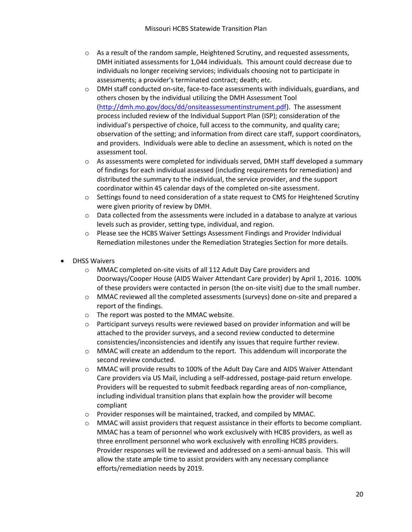- $\circ$  As a result of the random sample, Heightened Scrutiny, and requested assessments, DMH initiated assessments for 1,044 individuals. This amount could decrease due to individuals no longer receiving services; individuals choosing not to participate in assessments; a provider's terminated contract; death; etc.
- $\circ$  DMH staff conducted on-site, face-to-face assessments with individuals, guardians, and others chosen by the individual utilizing the DMH Assessment Tool [\(http://dmh.mo.gov/docs/dd/onsiteassessmentinstrument.pdf\)](http://dmh.mo.gov/docs/dd/onsiteassessmentinstrument.pdf). The assessment process included review of the Individual Support Plan (ISP); consideration of the individual's perspective of choice, full access to the community, and quality care; observation of the setting; and information from direct care staff, support coordinators, and providers. Individuals were able to decline an assessment, which is noted on the assessment tool.
- $\circ$  As assessments were completed for individuals served, DMH staff developed a summary of findings for each individual assessed (including requirements for remediation) and distributed the summary to the individual, the service provider, and the support coordinator within 45 calendar days of the completed on-site assessment.
- $\circ$  Settings found to need consideration of a state request to CMS for Heightened Scrutiny were given priority of review by DMH.
- $\circ$  Data collected from the assessments were included in a database to analyze at various levels such as provider, setting type, individual, and region.
- $\circ$  Please see the HCBS Waiver Settings Assessment Findings and Provider Individual Remediation milestones under the Remediation Strategies Section for more details.
- DHSS Waivers
	- o MMAC completed on-site visits of all 112 Adult Day Care providers and Doorways/Cooper House (AIDS Waiver Attendant Care provider) by April 1, 2016. 100% of these providers were contacted in person (the on-site visit) due to the small number.
	- o MMAC reviewed all the completed assessments (surveys) done on-site and prepared a report of the findings.
	- o The report was posted to the MMAC website.
	- $\circ$  Participant surveys results were reviewed based on provider information and will be attached to the provider surveys, and a second review conducted to determine consistencies/inconsistencies and identify any issues that require further review.
	- o MMAC will create an addendum to the report. This addendum will incorporate the second review conducted.
	- o MMAC will provide results to 100% of the Adult Day Care and AIDS Waiver Attendant Care providers via US Mail, including a self-addressed, postage-paid return envelope. Providers will be requested to submit feedback regarding areas of non-compliance, including individual transition plans that explain how the provider will become compliant
	- o Provider responses will be maintained, tracked, and compiled by MMAC.
	- o MMAC will assist providers that request assistance in their efforts to become compliant. MMAC has a team of personnel who work exclusively with HCBS providers, as well as three enrollment personnel who work exclusively with enrolling HCBS providers. Provider responses will be reviewed and addressed on a semi-annual basis. This will allow the state ample time to assist providers with any necessary compliance efforts/remediation needs by 2019.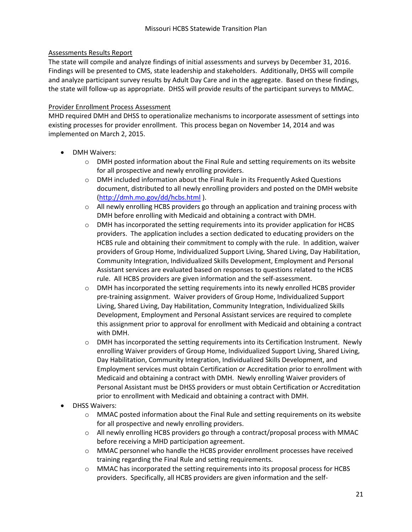### Assessments Results Report

The state will compile and analyze findings of initial assessments and surveys by December 31, 2016. Findings will be presented to CMS, state leadership and stakeholders. Additionally, DHSS will compile and analyze participant survey results by Adult Day Care and in the aggregate. Based on these findings, the state will follow-up as appropriate. DHSS will provide results of the participant surveys to MMAC.

#### Provider Enrollment Process Assessment

MHD required DMH and DHSS to operationalize mechanisms to incorporate assessment of settings into existing processes for provider enrollment. This process began on November 14, 2014 and was implemented on March 2, 2015.

- DMH Waivers:
	- $\circ$  DMH posted information about the Final Rule and setting requirements on its website for all prospective and newly enrolling providers.
	- $\circ$  DMH included information about the Final Rule in its Frequently Asked Questions document, distributed to all newly enrolling providers and posted on the DMH website [\(http://dmh.mo.gov/dd/hcbs.html](http://dmh.mo.gov/dd/hcbs.html) ).
	- $\circ$  All newly enrolling HCBS providers go through an application and training process with DMH before enrolling with Medicaid and obtaining a contract with DMH.
	- $\circ$  DMH has incorporated the setting requirements into its provider application for HCBS providers. The application includes a section dedicated to educating providers on the HCBS rule and obtaining their commitment to comply with the rule. In addition, waiver providers of Group Home, Individualized Support Living, Shared Living, Day Habilitation, Community Integration, Individualized Skills Development, Employment and Personal Assistant services are evaluated based on responses to questions related to the HCBS rule. All HCBS providers are given information and the self-assessment.
	- $\circ$  DMH has incorporated the setting requirements into its newly enrolled HCBS provider pre-training assignment. Waiver providers of Group Home, Individualized Support Living, Shared Living, Day Habilitation, Community Integration, Individualized Skills Development, Employment and Personal Assistant services are required to complete this assignment prior to approval for enrollment with Medicaid and obtaining a contract with DMH.
	- $\circ$  DMH has incorporated the setting requirements into its Certification Instrument. Newly enrolling Waiver providers of Group Home, Individualized Support Living, Shared Living, Day Habilitation, Community Integration, Individualized Skills Development, and Employment services must obtain Certification or Accreditation prior to enrollment with Medicaid and obtaining a contract with DMH. Newly enrolling Waiver providers of Personal Assistant must be DHSS providers or must obtain Certification or Accreditation prior to enrollment with Medicaid and obtaining a contract with DMH.
- DHSS Waivers:
	- o MMAC posted information about the Final Rule and setting requirements on its website for all prospective and newly enrolling providers.
	- $\circ$  All newly enrolling HCBS providers go through a contract/proposal process with MMAC before receiving a MHD participation agreement.
	- o MMAC personnel who handle the HCBS provider enrollment processes have received training regarding the Final Rule and setting requirements.
	- $\circ$  MMAC has incorporated the setting requirements into its proposal process for HCBS providers. Specifically, all HCBS providers are given information and the self-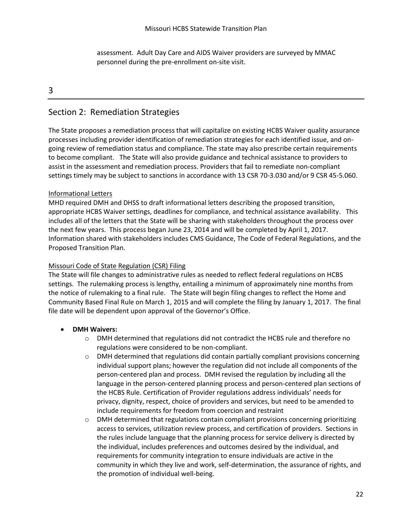assessment. Adult Day Care and AIDS Waiver providers are surveyed by MMAC personnel during the pre-enrollment on-site visit.

#### 3

## Section 2: Remediation Strategies

The State proposes a remediation process that will capitalize on existing HCBS Waiver quality assurance processes including provider identification of remediation strategies for each identified issue, and ongoing review of remediation status and compliance. The state may also prescribe certain requirements to become compliant. The State will also provide guidance and technical assistance to providers to assist in the assessment and remediation process. Providers that fail to remediate non-compliant settings timely may be subject to sanctions in accordance with 13 CSR 70-3.030 and/or 9 CSR 45-5.060.

#### Informational Letters

MHD required DMH and DHSS to draft informational letters describing the proposed transition, appropriate HCBS Waiver settings, deadlines for compliance, and technical assistance availability. This includes all of the letters that the State will be sharing with stakeholders throughout the process over the next few years. This process began June 23, 2014 and will be completed by April 1, 2017. Information shared with stakeholders includes CMS Guidance, The Code of Federal Regulations, and the Proposed Transition Plan.

#### Missouri Code of State Regulation (CSR) Filing

The State will file changes to administrative rules as needed to reflect federal regulations on HCBS settings. The rulemaking process is lengthy, entailing a minimum of approximately nine months from the notice of rulemaking to a final rule. The State will begin filing changes to reflect the Home and Community Based Final Rule on March 1, 2015 and will complete the filing by January 1, 2017. The final file date will be dependent upon approval of the Governor's Office.

#### **DMH Waivers:**

- $\circ$  DMH determined that regulations did not contradict the HCBS rule and therefore no regulations were considered to be non-compliant.
- $\circ$  DMH determined that regulations did contain partially compliant provisions concerning individual support plans; however the regulation did not include all components of the person-centered plan and process. DMH revised the regulation by including all the language in the person-centered planning process and person-centered plan sections of the HCBS Rule. Certification of Provider regulations address individuals' needs for privacy, dignity, respect, choice of providers and services, but need to be amended to include requirements for freedom from coercion and restraint
- $\circ$  DMH determined that regulations contain compliant provisions concerning prioritizing access to services, utilization review process, and certification of providers. Sections in the rules include language that the planning process for service delivery is directed by the individual, includes preferences and outcomes desired by the individual, and requirements for community integration to ensure individuals are active in the community in which they live and work, self-determination, the assurance of rights, and the promotion of individual well-being.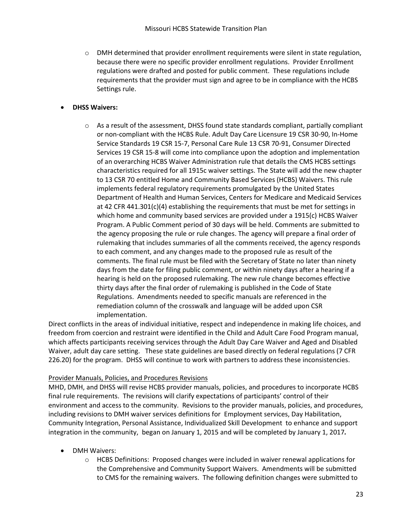$\circ$  DMH determined that provider enrollment requirements were silent in state regulation, because there were no specific provider enrollment regulations. Provider Enrollment regulations were drafted and posted for public comment. These regulations include requirements that the provider must sign and agree to be in compliance with the HCBS Settings rule.

### **DHSS Waivers:**

 $\circ$  As a result of the assessment, DHSS found state standards compliant, partially compliant or non-compliant with the HCBS Rule. Adult Day Care Licensure 19 CSR 30-90, In-Home Service Standards 19 CSR 15-7, Personal Care Rule 13 CSR 70-91, Consumer Directed Services 19 CSR 15-8 will come into compliance upon the adoption and implementation of an overarching HCBS Waiver Administration rule that details the CMS HCBS settings characteristics required for all 1915c waiver settings. The State will add the new chapter to 13 CSR 70 entitled Home and Community Based Services (HCBS) Waivers. This rule implements federal regulatory requirements promulgated by the United States Department of Health and Human Services, Centers for Medicare and Medicaid Services at 42 CFR 441.301(c)(4) establishing the requirements that must be met for settings in which home and community based services are provided under a 1915(c) HCBS Waiver Program. A Public Comment period of 30 days will be held. Comments are submitted to the agency proposing the rule or rule changes. The agency will prepare a final order of rulemaking that includes summaries of all the comments received, the agency responds to each comment, and any changes made to the proposed rule as result of the comments. The final rule must be filed with the Secretary of State no later than ninety days from the date for filing public comment, or within ninety days after a hearing if a hearing is held on the proposed rulemaking. The new rule change becomes effective thirty days after the final order of rulemaking is published in the Code of State Regulations. Amendments needed to specific manuals are referenced in the remediation column of the crosswalk and language will be added upon CSR implementation.

Direct conflicts in the areas of individual initiative, respect and independence in making life choices, and freedom from coercion and restraint were identified in the Child and Adult Care Food Program manual, which affects participants receiving services through the Adult Day Care Waiver and Aged and Disabled Waiver, adult day care setting. These state guidelines are based directly on federal regulations (7 CFR 226.20) for the program. DHSS will continue to work with partners to address these inconsistencies.

#### Provider Manuals, Policies, and Procedures Revisions

MHD, DMH, and DHSS will revise HCBS provider manuals, policies, and procedures to incorporate HCBS final rule requirements. The revisions will clarify expectations of participants' control of their environment and access to the community. Revisions to the provider manuals, policies, and procedures, including revisions to DMH waiver services definitions for Employment services, Day Habilitation, Community Integration, Personal Assistance, Individualized Skill Development to enhance and support integration in the community, began on January 1, 2015 and will be completed by January 1, 2017*.*

- DMH Waivers:
	- o HCBS Definitions: Proposed changes were included in waiver renewal applications for the Comprehensive and Community Support Waivers. Amendments will be submitted to CMS for the remaining waivers. The following definition changes were submitted to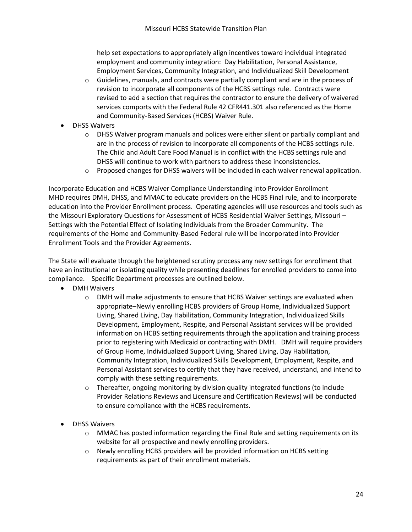help set expectations to appropriately align incentives toward individual integrated employment and community integration: Day Habilitation, Personal Assistance, Employment Services, Community Integration, and Individualized Skill Development

- $\circ$  Guidelines, manuals, and contracts were partially compliant and are in the process of revision to incorporate all components of the HCBS settings rule. Contracts were revised to add a section that requires the contractor to ensure the delivery of waivered services comports with the Federal Rule 42 CFR441.301 also referenced as the Home and Community-Based Services (HCBS) Waiver Rule.
- DHSS Waivers
	- $\circ$  DHSS Waiver program manuals and polices were either silent or partially compliant and are in the process of revision to incorporate all components of the HCBS settings rule. The Child and Adult Care Food Manual is in conflict with the HCBS settings rule and DHSS will continue to work with partners to address these inconsistencies.
	- $\circ$  Proposed changes for DHSS waivers will be included in each waiver renewal application.

Incorporate Education and HCBS Waiver Compliance Understanding into Provider Enrollment

MHD requires DMH, DHSS, and MMAC to educate providers on the HCBS Final rule, and to incorporate education into the Provider Enrollment process. Operating agencies will use resources and tools such as the Missouri Exploratory Questions for Assessment of HCBS Residential Waiver Settings, Missouri – Settings with the Potential Effect of Isolating Individuals from the Broader Community. The requirements of the Home and Community-Based Federal rule will be incorporated into Provider Enrollment Tools and the Provider Agreements.

The State will evaluate through the heightened scrutiny process any new settings for enrollment that have an institutional or isolating quality while presenting deadlines for enrolled providers to come into compliance. Specific Department processes are outlined below.

- DMH Waivers
	- $\circ$  DMH will make adjustments to ensure that HCBS Waiver settings are evaluated when appropriate–Newly enrolling HCBS providers of Group Home, Individualized Support Living, Shared Living, Day Habilitation, Community Integration, Individualized Skills Development, Employment, Respite, and Personal Assistant services will be provided information on HCBS setting requirements through the application and training process prior to registering with Medicaid or contracting with DMH. DMH will require providers of Group Home, Individualized Support Living, Shared Living, Day Habilitation, Community Integration, Individualized Skills Development, Employment, Respite, and Personal Assistant services to certify that they have received, understand, and intend to comply with these setting requirements.
	- $\circ$  Thereafter, ongoing monitoring by division quality integrated functions (to include Provider Relations Reviews and Licensure and Certification Reviews) will be conducted to ensure compliance with the HCBS requirements.
- DHSS Waivers
	- $\circ$  MMAC has posted information regarding the Final Rule and setting requirements on its website for all prospective and newly enrolling providers.
	- o Newly enrolling HCBS providers will be provided information on HCBS setting requirements as part of their enrollment materials.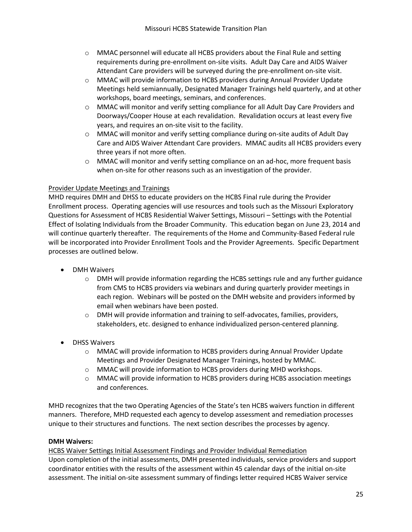- $\circ$  MMAC personnel will educate all HCBS providers about the Final Rule and setting requirements during pre-enrollment on-site visits. Adult Day Care and AIDS Waiver Attendant Care providers will be surveyed during the pre-enrollment on-site visit.
- o MMAC will provide information to HCBS providers during Annual Provider Update Meetings held semiannually, Designated Manager Trainings held quarterly, and at other workshops, board meetings, seminars, and conferences.
- o MMAC will monitor and verify setting compliance for all Adult Day Care Providers and Doorways/Cooper House at each revalidation. Revalidation occurs at least every five years, and requires an on-site visit to the facility.
- o MMAC will monitor and verify setting compliance during on-site audits of Adult Day Care and AIDS Waiver Attendant Care providers. MMAC audits all HCBS providers every three years if not more often.
- o MMAC will monitor and verify setting compliance on an ad-hoc, more frequent basis when on-site for other reasons such as an investigation of the provider.

### Provider Update Meetings and Trainings

MHD requires DMH and DHSS to educate providers on the HCBS Final rule during the Provider Enrollment process. Operating agencies will use resources and tools such as the Missouri Exploratory Questions for Assessment of HCBS Residential Waiver Settings, Missouri – Settings with the Potential Effect of Isolating Individuals from the Broader Community. This education began on June 23, 2014 and will continue quarterly thereafter. The requirements of the Home and Community-Based Federal rule will be incorporated into Provider Enrollment Tools and the Provider Agreements. Specific Department processes are outlined below.

- DMH Waivers
	- o DMH will provide information regarding the HCBS settings rule and any further guidance from CMS to HCBS providers via webinars and during quarterly provider meetings in each region. Webinars will be posted on the DMH website and providers informed by email when webinars have been posted.
	- $\circ$  DMH will provide information and training to self-advocates, families, providers, stakeholders, etc. designed to enhance individualized person-centered planning.
- DHSS Waivers
	- o MMAC will provide information to HCBS providers during Annual Provider Update Meetings and Provider Designated Manager Trainings, hosted by MMAC.
	- o MMAC will provide information to HCBS providers during MHD workshops.
	- o MMAC will provide information to HCBS providers during HCBS association meetings and conferences.

MHD recognizes that the two Operating Agencies of the State's ten HCBS waivers function in different manners. Therefore, MHD requested each agency to develop assessment and remediation processes unique to their structures and functions. The next section describes the processes by agency.

#### **DMH Waivers:**

HCBS Waiver Settings Initial Assessment Findings and Provider Individual Remediation Upon completion of the initial assessments, DMH presented individuals, service providers and support coordinator entities with the results of the assessment within 45 calendar days of the initial on-site assessment. The initial on-site assessment summary of findings letter required HCBS Waiver service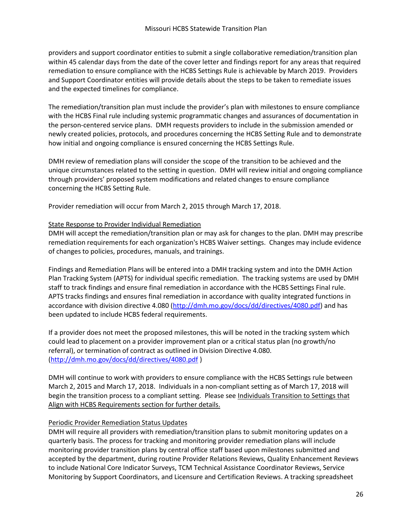providers and support coordinator entities to submit a single collaborative remediation/transition plan within 45 calendar days from the date of the cover letter and findings report for any areas that required remediation to ensure compliance with the HCBS Settings Rule is achievable by March 2019. Providers and Support Coordinator entities will provide details about the steps to be taken to remediate issues and the expected timelines for compliance.

The remediation/transition plan must include the provider's plan with milestones to ensure compliance with the HCBS Final rule including systemic programmatic changes and assurances of documentation in the person-centered service plans. DMH requests providers to include in the submission amended or newly created policies, protocols, and procedures concerning the HCBS Setting Rule and to demonstrate how initial and ongoing compliance is ensured concerning the HCBS Settings Rule.

DMH review of remediation plans will consider the scope of the transition to be achieved and the unique circumstances related to the setting in question. DMH will review initial and ongoing compliance through providers' proposed system modifications and related changes to ensure compliance concerning the HCBS Setting Rule.

Provider remediation will occur from March 2, 2015 through March 17, 2018.

### State Response to Provider Individual Remediation

DMH will accept the remediation/transition plan or may ask for changes to the plan. DMH may prescribe remediation requirements for each organization's HCBS Waiver settings. Changes may include evidence of changes to policies, procedures, manuals, and trainings.

Findings and Remediation Plans will be entered into a DMH tracking system and into the DMH Action Plan Tracking System (APTS) for individual specific remediation. The tracking systems are used by DMH staff to track findings and ensure final remediation in accordance with the HCBS Settings Final rule. APTS tracks findings and ensures final remediation in accordance with quality integrated functions in accordance with division directive 4.080 [\(http://dmh.mo.gov/docs/dd/directives/4080.pdf\)](http://dmh.mo.gov/docs/dd/directives/4080.pdf) and has been updated to include HCBS federal requirements.

If a provider does not meet the proposed milestones, this will be noted in the tracking system which could lead to placement on a provider improvement plan or a critical status plan (no growth/no referral), or termination of contract as outlined in Division Directive 4.080. [\(http://dmh.mo.gov/docs/dd/directives/4080.pdf](http://dmh.mo.gov/docs/dd/directives/4080.pdf) )

DMH will continue to work with providers to ensure compliance with the HCBS Settings rule between March 2, 2015 and March 17, 2018. Individuals in a non-compliant setting as of March 17, 2018 will begin the transition process to a compliant setting. Please see Individuals Transition to Settings that Align with HCBS Requirements section for further details.

### Periodic Provider Remediation Status Updates

DMH will require all providers with remediation/transition plans to submit monitoring updates on a quarterly basis. The process for tracking and monitoring provider remediation plans will include monitoring provider transition plans by central office staff based upon milestones submitted and accepted by the department, during routine Provider Relations Reviews, Quality Enhancement Reviews to include National Core Indicator Surveys, TCM Technical Assistance Coordinator Reviews, Service Monitoring by Support Coordinators, and Licensure and Certification Reviews. A tracking spreadsheet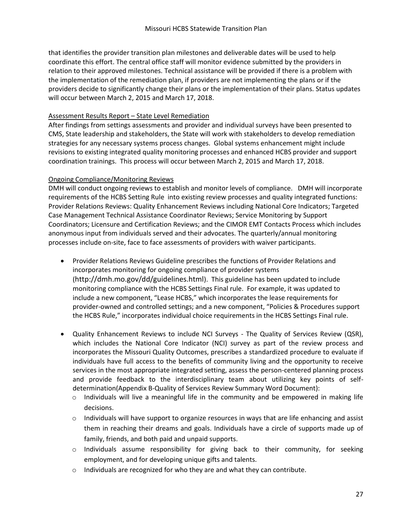that identifies the provider transition plan milestones and deliverable dates will be used to help coordinate this effort. The central office staff will monitor evidence submitted by the providers in relation to their approved milestones. Technical assistance will be provided if there is a problem with the implementation of the remediation plan, if providers are not implementing the plans or if the providers decide to significantly change their plans or the implementation of their plans. Status updates will occur between March 2, 2015 and March 17, 2018.

### Assessment Results Report – State Level Remediation

After findings from settings assessments and provider and individual surveys have been presented to CMS, State leadership and stakeholders, the State will work with stakeholders to develop remediation strategies for any necessary systems process changes. Global systems enhancement might include revisions to existing integrated quality monitoring processes and enhanced HCBS provider and support coordination trainings. This process will occur between March 2, 2015 and March 17, 2018.

### Ongoing Compliance/Monitoring Reviews

DMH will conduct ongoing reviews to establish and monitor levels of compliance. DMH will incorporate requirements of the HCBS Setting Rule into existing review processes and quality integrated functions: Provider Relations Reviews: Quality Enhancement Reviews including National Core Indicators; Targeted Case Management Technical Assistance Coordinator Reviews; Service Monitoring by Support Coordinators; Licensure and Certification Reviews; and the CIMOR EMT Contacts Process which includes anonymous input from individuals served and their advocates. The quarterly/annual monitoring processes include on-site, face to face assessments of providers with waiver participants.

- Provider Relations Reviews Guideline prescribes the functions of Provider Relations and incorporates monitoring for ongoing compliance of provider systems (<http://dmh.mo.gov/dd/guidelines.html>). This guideline has been updated to include monitoring compliance with the HCBS Settings Final rule. For example, it was updated to include a new component, "Lease HCBS," which incorporates the lease requirements for provider-owned and controlled settings; and a new component, "Policies & Procedures support the HCBS Rule," incorporates individual choice requirements in the HCBS Settings Final rule.
- Quality Enhancement Reviews to include NCI Surveys The Quality of Services Review (QSR), which includes the National Core Indicator (NCI) survey as part of the review process and incorporates the Missouri Quality Outcomes, prescribes a standardized procedure to evaluate if individuals have full access to the benefits of community living and the opportunity to receive services in the most appropriate integrated setting, assess the person-centered planning process and provide feedback to the interdisciplinary team about utilizing key points of selfdetermination[\(Appendix B-Quality of Services Review Summary](http://dmh.mo.gov/dd/docs/guideline54appendixb.doc) Word Document):
	- $\circ$  Individuals will live a meaningful life in the community and be empowered in making life decisions.
	- $\circ$  Individuals will have support to organize resources in ways that are life enhancing and assist them in reaching their dreams and goals. Individuals have a circle of supports made up of family, friends, and both paid and unpaid supports.
	- $\circ$  Individuals assume responsibility for giving back to their community, for seeking employment, and for developing unique gifts and talents.
	- o Individuals are recognized for who they are and what they can contribute.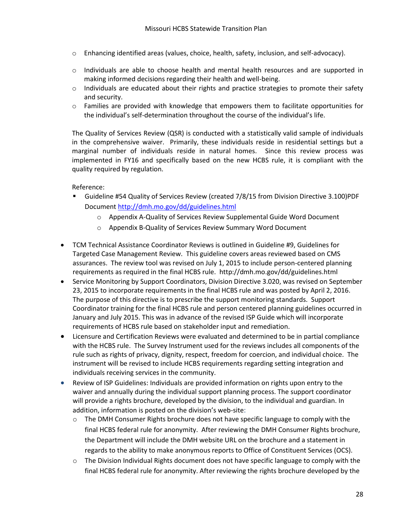- o Enhancing identified areas (values, choice, health, safety, inclusion, and self-advocacy).
- o Individuals are able to choose health and mental health resources and are supported in making informed decisions regarding their health and well-being.
- $\circ$  Individuals are educated about their rights and practice strategies to promote their safety and security.
- $\circ$  Families are provided with knowledge that empowers them to facilitate opportunities for the individual's self-determination throughout the course of the individual's life.

The Quality of Services Review (QSR) is conducted with a statistically valid sample of individuals in the comprehensive waiver. Primarily, these individuals reside in residential settings but a marginal number of individuals reside in natural homes. Since this review process was implemented in FY16 and specifically based on the new HCBS rule, it is compliant with the quality required by regulation.

Reference:

- Guideline [#54 Quality of Services Review \(created 7/8/15 from Division Directive 3.100\)PDF](http://dmh.mo.gov/dd/docs/guideline54.pdf)  [Document](http://dmh.mo.gov/dd/docs/guideline54.pdf) <http://dmh.mo.gov/dd/guidelines.html>
	- o [Appendix A-Quality of Services Review Supplemental Guide](http://dmh.mo.gov/dd/docs/guideline54appendixa.doc) Word Document
	- o [Appendix B-Quality of Services Review Summary](http://dmh.mo.gov/dd/docs/guideline54appendixb.doc) Word Document
- TCM Technical Assistance Coordinator Reviews is outlined in Guideline #9, Guidelines for Targeted Case Management Review. This guideline covers areas reviewed based on CMS assurances. The review tool was revised on July 1, 2015 to include person-centered planning requirements as required in the final HCBS rule. http://dmh.mo.gov/dd/guidelines.html
- Service Monitoring by Support Coordinators, Division Directive 3.020, was revised on September 23, 2015 to incorporate requirements in the final HCBS rule and was posted by April 2, 2016. The purpose of this directive is to prescribe the support monitoring standards. Support Coordinator training for the final HCBS rule and person centered planning guidelines occurred in January and July 2015. This was in advance of the revised ISP Guide which will incorporate requirements of HCBS rule based on stakeholder input and remediation.
- Licensure and Certification Reviews were evaluated and determined to be in partial compliance with the HCBS rule. The Survey Instrument used for the reviews includes all components of the rule such as rights of privacy, dignity, respect, freedom for coercion, and individual choice. The instrument will be revised to include HCBS requirements regarding setting integration and individuals receiving services in the community.
- Review of ISP Guidelines: Individuals are provided information on rights upon entry to the waiver and annually during the individual support planning process. The support coordinator will provide a rights brochure, developed by the division, to the individual and guardian. In addition, information is posted on the division's web-site:
	- $\circ$  The DMH Consumer Rights brochure does not have specific language to comply with the final HCBS federal rule for anonymity. After reviewing the DMH Consumer Rights brochure, the Department will include the DMH website URL on the brochure and a statement in regards to the ability to make anonymous reports to Office of Constituent Services (OCS).
	- $\circ$  The Division Individual Rights document does not have specific language to comply with the final HCBS federal rule for anonymity. After reviewing the rights brochure developed by the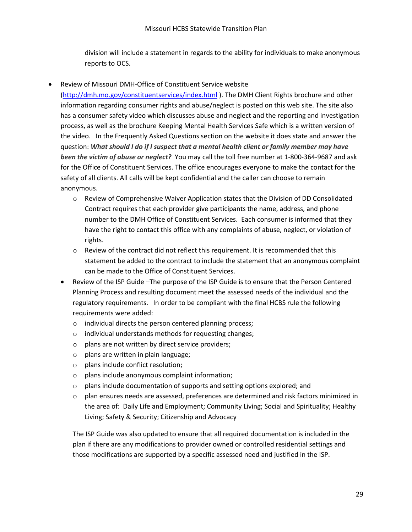division will include a statement in regards to the ability for individuals to make anonymous reports to OCS.

Review of Missouri DMH-Office of Constituent Service website

[\(http://dmh.mo.gov/constituentservices/index.html](http://dmh.mo.gov/constituentservices/index.html) ). The DMH Client Rights brochure and other information regarding consumer rights and abuse/neglect is posted on this web site. The site also has a consumer safety video which discusses abuse and neglect and the reporting and investigation process, as well as the brochure Keeping Mental Health Services Safe which is a written version of the video. In the Frequently Asked Questions section on the website it does state and answer the question: *What should I do if I suspect that a mental health client or family member may have been the victim of abuse or neglect?* You may call the toll free number at 1-800-364-9687 and ask for the Office of Constituent Services. The office encourages everyone to make the contact for the safety of all clients. All calls will be kept confidential and the caller can choose to remain anonymous.

- $\circ$  Review of Comprehensive Waiver Application states that the Division of DD Consolidated Contract requires that each provider give participants the name, address, and phone number to the DMH Office of Constituent Services. Each consumer is informed that they have the right to contact this office with any complaints of abuse, neglect, or violation of rights.
- o Review of the contract did not reflect this requirement. It is recommended that this statement be added to the contract to include the statement that an anonymous complaint can be made to the Office of Constituent Services.
- Review of the ISP Guide –The purpose of the ISP Guide is to ensure that the Person Centered Planning Process and resulting document meet the assessed needs of the individual and the regulatory requirements. In order to be compliant with the final HCBS rule the following requirements were added:
	- o individual directs the person centered planning process;
	- o individual understands methods for requesting changes;
	- o plans are not written by direct service providers;
	- o plans are written in plain language;
	- o plans include conflict resolution;
	- o plans include anonymous complaint information;
	- $\circ$  plans include documentation of supports and setting options explored; and
	- o plan ensures needs are assessed, preferences are determined and risk factors minimized in the area of: Daily Life and Employment; Community Living; Social and Spirituality; Healthy Living; Safety & Security; Citizenship and Advocacy

The ISP Guide was also updated to ensure that all required documentation is included in the plan if there are any modifications to provider owned or controlled residential settings and those modifications are supported by a specific assessed need and justified in the ISP.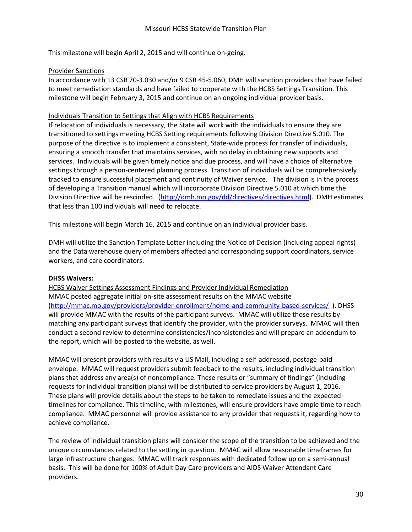This milestone will begin April 2, 2015 and will continue on-going.

#### Provider Sanctions

In accordance with 13 CSR 70-3.030 and/or 9 CSR 45-5.060, DMH will sanction providers that have failed to meet remediation standards and have failed to cooperate with the HCBS Settings Transition. This milestone will begin February 3, 2015 and continue on an ongoing individual provider basis.

#### Individuals Transition to Settings that Align with HCBS Requirements

If relocation of individuals is necessary, the State will work with the individuals to ensure they are transitioned to settings meeting HCBS Setting requirements following Division Directive 5.010. The purpose of the directive is to implement a consistent, State-wide process for transfer of individuals, ensuring a smooth transfer that maintains services, with no delay in obtaining new supports and services. Individuals will be given timely notice and due process, and will have a choice of alternative settings through a person-centered planning process. Transition of individuals will be comprehensively tracked to ensure successful placement and continuity of Waiver service. The division is in the process of developing a Transition manual which will incorporate Division Directive 5.010 at which time the Division Directive will be rescinded. [\(http://dmh.mo.gov/dd/directives/directives.html\)](http://dmh.mo.gov/dd/directives/directives.html). DMH estimates that less than 100 individuals will need to relocate.

This milestone will begin March 16, 2015 and continue on an individual provider basis.

DMH will utilize the Sanction Template Letter including the Notice of Decision (including appeal rights) and the Data warehouse query of members affected and corresponding support coordinators, service workers, and care coordinators.

### **DHSS Waivers:**

HCBS Waiver Settings Assessment Findings and Provider Individual Remediation MMAC posted aggregate initial on-site assessment results on the MMAC website [\(http://mmac.mo.gov/providers/provider-enrollment/home-and-community-based-services/](http://mmac.mo.gov/providers/provider-enrollment/home-and-community-based-services/) ). DHSS will provide MMAC with the results of the participant surveys. MMAC will utilize those results by matching any participant surveys that identify the provider, with the provider surveys. MMAC will then conduct a second review to determine consistencies/inconsistencies and will prepare an addendum to the report, which will be posted to the website, as well.

MMAC will present providers with results via US Mail, including a self-addressed, postage-paid envelope. MMAC will request providers submit feedback to the results, including individual transition plans that address any area(s) of noncompliance. These results or "summary of findings" (including requests for individual transition plans) will be distributed to service providers by August 1, 2016. These plans will provide details about the steps to be taken to remediate issues and the expected timelines for compliance. This timeline, with milestones, will ensure providers have ample time to reach compliance. MMAC personnel will provide assistance to any provider that requests it, regarding how to achieve compliance.

The review of individual transition plans will consider the scope of the transition to be achieved and the unique circumstances related to the setting in question. MMAC will allow reasonable timeframes for large infrastructure changes. MMAC will track responses with dedicated follow up on a semi-annual basis. This will be done for 100% of Adult Day Care providers and AIDS Waiver Attendant Care providers.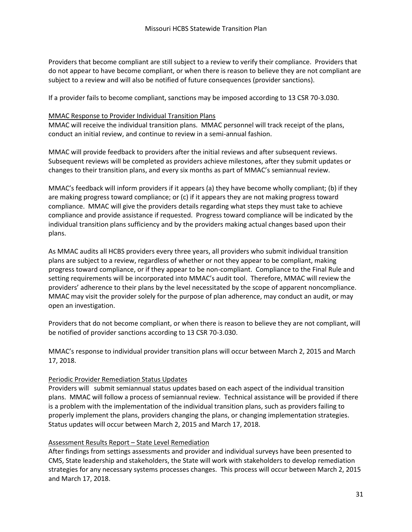Providers that become compliant are still subject to a review to verify their compliance. Providers that do not appear to have become compliant, or when there is reason to believe they are not compliant are subject to a review and will also be notified of future consequences (provider sanctions).

If a provider fails to become compliant, sanctions may be imposed according to 13 CSR 70-3.030.

#### MMAC Response to Provider Individual Transition Plans

MMAC will receive the individual transition plans. MMAC personnel will track receipt of the plans, conduct an initial review, and continue to review in a semi-annual fashion.

MMAC will provide feedback to providers after the initial reviews and after subsequent reviews. Subsequent reviews will be completed as providers achieve milestones, after they submit updates or changes to their transition plans, and every six months as part of MMAC's semiannual review.

MMAC's feedback will inform providers if it appears (a) they have become wholly compliant; (b) if they are making progress toward compliance; or (c) if it appears they are not making progress toward compliance. MMAC will give the providers details regarding what steps they must take to achieve compliance and provide assistance if requested. Progress toward compliance will be indicated by the individual transition plans sufficiency and by the providers making actual changes based upon their plans.

As MMAC audits all HCBS providers every three years, all providers who submit individual transition plans are subject to a review, regardless of whether or not they appear to be compliant, making progress toward compliance, or if they appear to be non-compliant. Compliance to the Final Rule and setting requirements will be incorporated into MMAC's audit tool. Therefore, MMAC will review the providers' adherence to their plans by the level necessitated by the scope of apparent noncompliance. MMAC may visit the provider solely for the purpose of plan adherence, may conduct an audit, or may open an investigation.

Providers that do not become compliant, or when there is reason to believe they are not compliant, will be notified of provider sanctions according to 13 CSR 70-3.030.

MMAC's response to individual provider transition plans will occur between March 2, 2015 and March 17, 2018.

#### Periodic Provider Remediation Status Updates

Providers will submit semiannual status updates based on each aspect of the individual transition plans. MMAC will follow a process of semiannual review. Technical assistance will be provided if there is a problem with the implementation of the individual transition plans, such as providers failing to properly implement the plans, providers changing the plans, or changing implementation strategies. Status updates will occur between March 2, 2015 and March 17, 2018.

#### Assessment Results Report – State Level Remediation

After findings from settings assessments and provider and individual surveys have been presented to CMS, State leadership and stakeholders, the State will work with stakeholders to develop remediation strategies for any necessary systems processes changes. This process will occur between March 2, 2015 and March 17, 2018.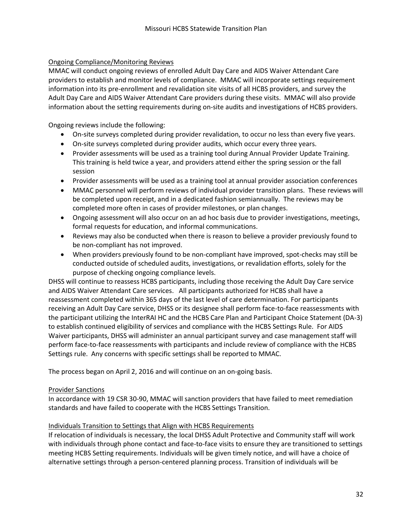### Ongoing Compliance/Monitoring Reviews

MMAC will conduct ongoing reviews of enrolled Adult Day Care and AIDS Waiver Attendant Care providers to establish and monitor levels of compliance. MMAC will incorporate settings requirement information into its pre-enrollment and revalidation site visits of all HCBS providers, and survey the Adult Day Care and AIDS Waiver Attendant Care providers during these visits. MMAC will also provide information about the setting requirements during on-site audits and investigations of HCBS providers.

Ongoing reviews include the following:

- On-site surveys completed during provider revalidation, to occur no less than every five years.
- On-site surveys completed during provider audits, which occur every three years.
- Provider assessments will be used as a training tool during Annual Provider Update Training. This training is held twice a year, and providers attend either the spring session or the fall session
- Provider assessments will be used as a training tool at annual provider association conferences
- MMAC personnel will perform reviews of individual provider transition plans. These reviews will be completed upon receipt, and in a dedicated fashion semiannually. The reviews may be completed more often in cases of provider milestones, or plan changes.
- Ongoing assessment will also occur on an ad hoc basis due to provider investigations, meetings, formal requests for education, and informal communications.
- Reviews may also be conducted when there is reason to believe a provider previously found to be non-compliant has not improved.
- When providers previously found to be non-compliant have improved, spot-checks may still be conducted outside of scheduled audits, investigations, or revalidation efforts, solely for the purpose of checking ongoing compliance levels.

DHSS will continue to reassess HCBS participants, including those receiving the Adult Day Care service and AIDS Waiver Attendant Care services. All participants authorized for HCBS shall have a reassessment completed within 365 days of the last level of care determination. For participants receiving an Adult Day Care service, DHSS or its designee shall perform face-to-face reassessments with the participant utilizing the InterRAI HC and the HCBS Care Plan and Participant Choice Statement (DA-3) to establish continued eligibility of services and compliance with the HCBS Settings Rule. For AIDS Waiver participants, DHSS will administer an annual participant survey and case management staff will perform face-to-face reassessments with participants and include review of compliance with the HCBS Settings rule. Any concerns with specific settings shall be reported to MMAC.

The process began on April 2, 2016 and will continue on an on-going basis.

#### Provider Sanctions

In accordance with 19 CSR 30-90, MMAC will sanction providers that have failed to meet remediation standards and have failed to cooperate with the HCBS Settings Transition.

#### Individuals Transition to Settings that Align with HCBS Requirements

If relocation of individuals is necessary, the local DHSS Adult Protective and Community staff will work with individuals through phone contact and face-to-face visits to ensure they are transitioned to settings meeting HCBS Setting requirements. Individuals will be given timely notice, and will have a choice of alternative settings through a person-centered planning process. Transition of individuals will be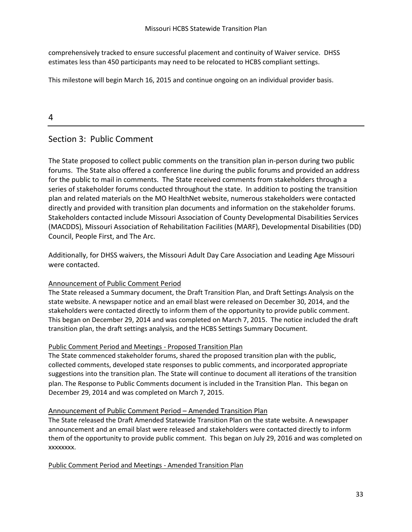comprehensively tracked to ensure successful placement and continuity of Waiver service. DHSS estimates less than 450 participants may need to be relocated to HCBS compliant settings.

This milestone will begin March 16, 2015 and continue ongoing on an individual provider basis.

# 4

# Section 3: Public Comment

The State proposed to collect public comments on the transition plan in-person during two public forums. The State also offered a conference line during the public forums and provided an address for the public to mail in comments. The State received comments from stakeholders through a series of stakeholder forums conducted throughout the state. In addition to posting the transition plan and related materials on the MO HealthNet website, numerous stakeholders were contacted directly and provided with transition plan documents and information on the stakeholder forums. Stakeholders contacted include Missouri Association of County Developmental Disabilities Services (MACDDS), Missouri Association of Rehabilitation Facilities (MARF), Developmental Disabilities (DD) Council, People First, and The Arc.

Additionally, for DHSS waivers, the Missouri Adult Day Care Association and Leading Age Missouri were contacted.

### Announcement of Public Comment Period

The State released a Summary document, the Draft Transition Plan, and Draft Settings Analysis on the state website. A newspaper notice and an email blast were released on December 30, 2014, and the stakeholders were contacted directly to inform them of the opportunity to provide public comment. This began on December 29, 2014 and was completed on March 7, 2015. The notice included the draft transition plan, the draft settings analysis, and the HCBS Settings Summary Document.

### Public Comment Period and Meetings - Proposed Transition Plan

The State commenced stakeholder forums, shared the proposed transition plan with the public, collected comments, developed state responses to public comments, and incorporated appropriate suggestions into the transition plan. The State will continue to document all iterations of the transition plan. The Response to Public Comments document is included in the Transition Plan. This began on December 29, 2014 and was completed on March 7, 2015.

### Announcement of Public Comment Period – Amended Transition Plan

The State released the Draft Amended Statewide Transition Plan on the state website. A newspaper announcement and an email blast were released and stakeholders were contacted directly to inform them of the opportunity to provide public comment. This began on July 29, 2016 and was completed on xxxxxxxx.

Public Comment Period and Meetings - Amended Transition Plan